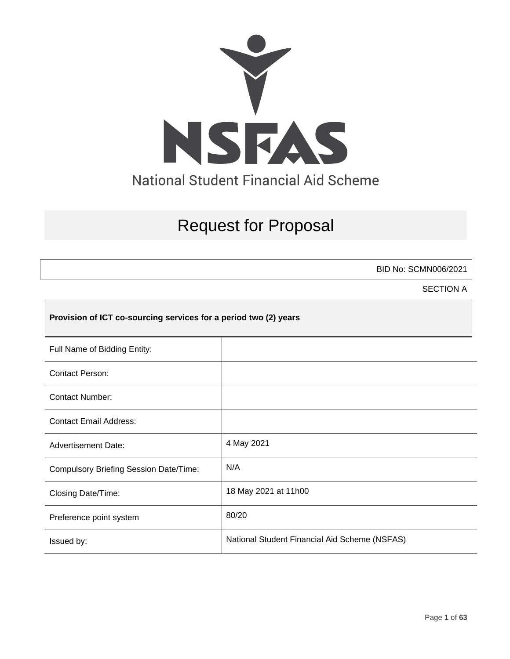

# Request for Proposal

BID No: SCMN006/2021

SECTION A

## **Provision of ICT co-sourcing services for a period two (2) years**

| Full Name of Bidding Entity:                  |                                               |
|-----------------------------------------------|-----------------------------------------------|
| <b>Contact Person:</b>                        |                                               |
| <b>Contact Number:</b>                        |                                               |
| <b>Contact Email Address:</b>                 |                                               |
| <b>Advertisement Date:</b>                    | 4 May 2021                                    |
| <b>Compulsory Briefing Session Date/Time:</b> | N/A                                           |
| Closing Date/Time:                            | 18 May 2021 at 11h00                          |
| Preference point system                       | 80/20                                         |
| Issued by:                                    | National Student Financial Aid Scheme (NSFAS) |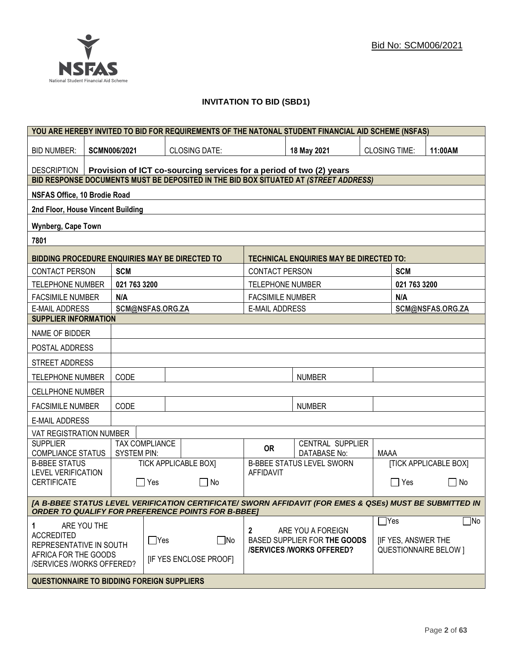

## **INVITATION TO BID (SBD1)**

|                                                                                                                                                                      |                                                                     |                       |                              |                                                                 | YOU ARE HEREBY INVITED TO BID FOR REQUIREMENTS OF THE NATONAL STUDENT FINANCIAL AID SCHEME (NSFAS) |                           |                              |                              |
|----------------------------------------------------------------------------------------------------------------------------------------------------------------------|---------------------------------------------------------------------|-----------------------|------------------------------|-----------------------------------------------------------------|----------------------------------------------------------------------------------------------------|---------------------------|------------------------------|------------------------------|
| <b>BID NUMBER:</b>                                                                                                                                                   | <b>SCMN006/2021</b>                                                 |                       | <b>CLOSING DATE:</b>         |                                                                 | 18 May 2021                                                                                        | <b>CLOSING TIME:</b>      |                              | 11:00AM                      |
| DESCRIPTION                                                                                                                                                          | Provision of ICT co-sourcing services for a period of two (2) years |                       |                              |                                                                 |                                                                                                    |                           |                              |                              |
|                                                                                                                                                                      |                                                                     |                       |                              |                                                                 | BID RESPONSE DOCUMENTS MUST BE DEPOSITED IN THE BID BOX SITUATED AT (STREET ADDRESS)               |                           |                              |                              |
| NSFAS Office, 10 Brodie Road                                                                                                                                         |                                                                     |                       |                              |                                                                 |                                                                                                    |                           |                              |                              |
| 2nd Floor, House Vincent Building                                                                                                                                    |                                                                     |                       |                              |                                                                 |                                                                                                    |                           |                              |                              |
| Wynberg, Cape Town                                                                                                                                                   |                                                                     |                       |                              |                                                                 |                                                                                                    |                           |                              |                              |
| 7801                                                                                                                                                                 |                                                                     |                       |                              |                                                                 |                                                                                                    |                           |                              |                              |
| BIDDING PROCEDURE ENQUIRIES MAY BE DIRECTED TO                                                                                                                       |                                                                     |                       |                              |                                                                 | <b>TECHNICAL ENQUIRIES MAY BE DIRECTED TO:</b>                                                     |                           |                              |                              |
| <b>CONTACT PERSON</b>                                                                                                                                                | <b>SCM</b>                                                          |                       |                              | <b>CONTACT PERSON</b>                                           |                                                                                                    |                           | <b>SCM</b>                   |                              |
| <b>TELEPHONE NUMBER</b>                                                                                                                                              | 021 763 3200                                                        |                       |                              | <b>TELEPHONE NUMBER</b>                                         |                                                                                                    |                           | 021 763 3200                 |                              |
| <b>FACSIMILE NUMBER</b>                                                                                                                                              | N/A                                                                 |                       |                              | <b>FACSIMILE NUMBER</b>                                         |                                                                                                    |                           | N/A                          |                              |
| <b>E-MAIL ADDRESS</b>                                                                                                                                                |                                                                     | SCM@NSFAS.ORG.ZA      |                              | <b>E-MAIL ADDRESS</b>                                           |                                                                                                    |                           |                              | SCM@NSFAS.ORG.ZA             |
| <b>SUPPLIER INFORMATION</b>                                                                                                                                          |                                                                     |                       |                              |                                                                 |                                                                                                    |                           |                              |                              |
| NAME OF BIDDER                                                                                                                                                       |                                                                     |                       |                              |                                                                 |                                                                                                    |                           |                              |                              |
| POSTAL ADDRESS                                                                                                                                                       |                                                                     |                       |                              |                                                                 |                                                                                                    |                           |                              |                              |
| STREET ADDRESS                                                                                                                                                       |                                                                     |                       |                              |                                                                 |                                                                                                    |                           |                              |                              |
| <b>TELEPHONE NUMBER</b>                                                                                                                                              | CODE                                                                |                       |                              |                                                                 | <b>NUMBER</b>                                                                                      |                           |                              |                              |
| <b>CELLPHONE NUMBER</b>                                                                                                                                              |                                                                     |                       |                              |                                                                 |                                                                                                    |                           |                              |                              |
| <b>FACSIMILE NUMBER</b>                                                                                                                                              | CODE                                                                |                       |                              |                                                                 | <b>NUMBER</b>                                                                                      |                           |                              |                              |
| <b>E-MAIL ADDRESS</b>                                                                                                                                                |                                                                     |                       |                              |                                                                 |                                                                                                    |                           |                              |                              |
| VAT REGISTRATION NUMBER                                                                                                                                              |                                                                     |                       |                              |                                                                 |                                                                                                    |                           |                              |                              |
| <b>SUPPLIER</b><br><b>COMPLIANCE STATUS</b>                                                                                                                          | <b>SYSTEM PIN:</b>                                                  | <b>TAX COMPLIANCE</b> |                              | <b>OR</b>                                                       | CENTRAL SUPPLIER<br><b>DATABASE No:</b>                                                            | <b>MAAA</b>               |                              |                              |
| <b>B-BBEE STATUS</b><br><b>LEVEL VERIFICATION</b>                                                                                                                    |                                                                     |                       | <b>TICK APPLICABLE BOX]</b>  |                                                                 | <b>B-BBEE STATUS LEVEL SWORN</b>                                                                   |                           |                              | <b>[TICK APPLICABLE BOX]</b> |
| <b>CERTIFICATE</b>                                                                                                                                                   |                                                                     | $\Box$ Yes            | $\Box$ No                    | <b>AFFIDAVIT</b>                                                |                                                                                                    |                           | $\Box$ Yes                   | $\Box$ No                    |
| [A B-BBEE STATUS LEVEL VERIFICATION CERTIFICATE/ SWORN AFFIDAVIT (FOR EMES & QSEs) MUST BE SUBMITTED IN<br><b>ORDER TO QUALIFY FOR PREFERENCE POINTS FOR B-BBEET</b> |                                                                     |                       |                              |                                                                 |                                                                                                    |                           |                              |                              |
| ARE YOU THE<br>1                                                                                                                                                     |                                                                     |                       |                              |                                                                 |                                                                                                    | $\Box$ Yes                |                              | $\Box$ No                    |
| <b>ACCREDITED</b>                                                                                                                                                    |                                                                     |                       |                              | $\mathbf{2}$                                                    | ARE YOU A FOREIGN                                                                                  |                           |                              |                              |
| $\Box$ Yes<br>REPRESENTATIVE IN SOUTH                                                                                                                                |                                                                     | $\Box$ No             |                              | BASED SUPPLIER FOR THE GOODS<br><b>/SERVICES/WORKS OFFERED?</b> |                                                                                                    | <b>IF YES, ANSWER THE</b> | <b>QUESTIONNAIRE BELOW 1</b> |                              |
| AFRICA FOR THE GOODS<br>/SERVICES /WORKS OFFERED?                                                                                                                    |                                                                     |                       | <b>IF YES ENCLOSE PROOFI</b> |                                                                 |                                                                                                    |                           |                              |                              |
| <b>QUESTIONNAIRE TO BIDDING FOREIGN SUPPLIERS</b>                                                                                                                    |                                                                     |                       |                              |                                                                 |                                                                                                    |                           |                              |                              |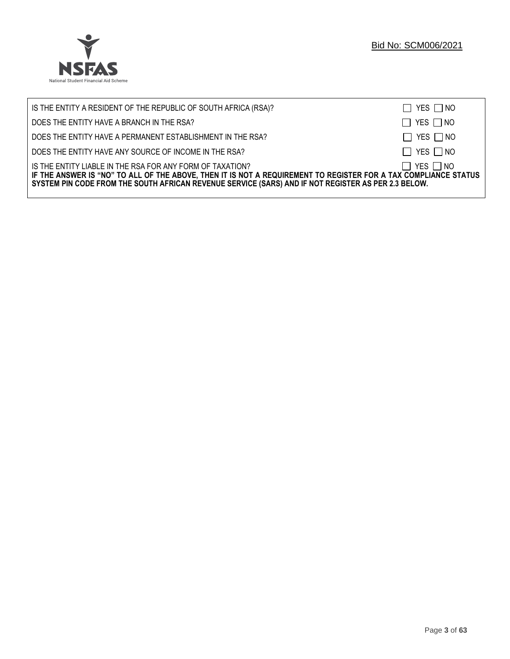

| IS THE ENTITY A RESIDENT OF THE REPUBLIC OF SOUTH AFRICA (RSA)?                                                                                                                                                                                                                     | $\Box$ YES $\Box$ NO |
|-------------------------------------------------------------------------------------------------------------------------------------------------------------------------------------------------------------------------------------------------------------------------------------|----------------------|
| DOES THE ENTITY HAVE A BRANCH IN THE RSA?                                                                                                                                                                                                                                           | $\Box$ YES $\Box$ NO |
| DOES THE ENTITY HAVE A PERMANENT ESTABLISHMENT IN THE RSA?                                                                                                                                                                                                                          | $\Box$ YES $\Box$ NO |
| DOES THE ENTITY HAVE ANY SOURCE OF INCOME IN THE RSA?                                                                                                                                                                                                                               | $\Box$ YES $\Box$ NO |
| IS THE ENTITY LIABLE IN THE RSA FOR ANY FORM OF TAXATION?<br>IF THE ANSWER IS "NO" TO ALL OF THE ABOVE, THEN IT IS NOT A REQUIREMENT TO REGISTER FOR A TAX COMPLIANCE STATUS<br>SYSTEM PIN CODE FROM THE SOUTH AFRICAN REVENUE SERVICE (SARS) AND IF NOT REGISTER AS PER 2.3 BELOW. | $\Box$ YES $\Box$ NO |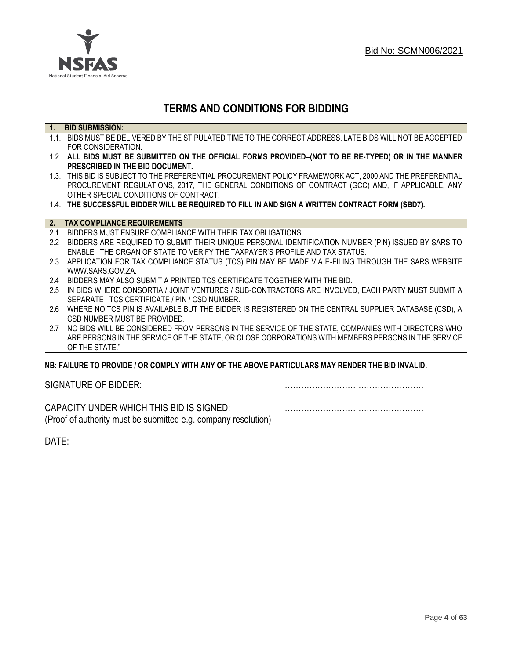

## **TERMS AND CONDITIONS FOR BIDDING**

| $\overline{1}$ . | <b>BID SUBMISSION:</b>                                                                                    |
|------------------|-----------------------------------------------------------------------------------------------------------|
|                  | 1.1. BIDS MUST BE DELIVERED BY THE STIPULATED TIME TO THE CORRECT ADDRESS. LATE BIDS WILL NOT BE ACCEPTED |
|                  | FOR CONSIDERATION.                                                                                        |
|                  | 1.2. ALL BIDS MUST BE SUBMITTED ON THE OFFICIAL FORMS PROVIDED-(NOT TO BE RE-TYPED) OR IN THE MANNER      |
|                  | PRESCRIBED IN THE BID DOCUMENT.                                                                           |
|                  | 1.3. THIS BID IS SUBJECT TO THE PREFERENTIAL PROCUREMENT POLICY FRAMEWORK ACT, 2000 AND THE PREFERENTIAL  |
|                  | PROCUREMENT REGULATIONS, 2017, THE GENERAL CONDITIONS OF CONTRACT (GCC) AND, IF APPLICABLE, ANY           |
|                  | OTHER SPECIAL CONDITIONS OF CONTRACT.                                                                     |
|                  | 1.4. THE SUCCESSFUL BIDDER WILL BE REQUIRED TO FILL IN AND SIGN A WRITTEN CONTRACT FORM (SBD7).           |
|                  |                                                                                                           |
|                  | 2. TAX COMPLIANCE REQUIREMENTS                                                                            |
| 2.1              | BIDDERS MUST ENSURE COMPLIANCE WITH THEIR TAX OBLIGATIONS.                                                |
| $2.2^{\circ}$    | BIDDERS ARE REQUIRED TO SUBMIT THEIR UNIQUE PERSONAL IDENTIFICATION NUMBER (PIN) ISSUED BY SARS TO        |
|                  | ENABLE THE ORGAN OF STATE TO VERIFY THE TAXPAYER'S PROFILE AND TAX STATUS.                                |
| 2.3              | APPLICATION FOR TAX COMPLIANCE STATUS (TCS) PIN MAY BE MADE VIA E-FILING THROUGH THE SARS WEBSITE         |
|                  | WWW.SARS.GOV.ZA.                                                                                          |
| 2.4              | BIDDERS MAY ALSO SUBMIT A PRINTED TCS CERTIFICATE TOGETHER WITH THE BID.                                  |
| 2.5              | IN BIDS WHERE CONSORTIA / JOINT VENTURES / SUB-CONTRACTORS ARE INVOLVED, EACH PARTY MUST SUBMIT A         |
|                  | SEPARATE TCS CERTIFICATE / PIN / CSD NUMBER.                                                              |
| 2.6              | WHERE NO TCS PIN IS AVAILABLE BUT THE BIDDER IS REGISTERED ON THE CENTRAL SUPPLIER DATABASE (CSD), A      |
|                  | CSD NUMBER MUST BE PROVIDED.                                                                              |
| 2.7              | NO BIDS WILL BE CONSIDERED FROM PERSONS IN THE SERVICE OF THE STATE, COMPANIES WITH DIRECTORS WHO         |
|                  | ARE PERSONS IN THE SERVICE OF THE STATE, OR CLOSE CORPORATIONS WITH MEMBERS PERSONS IN THE SERVICE        |
|                  | OF THE STATE."                                                                                            |
|                  | ND. EAILHDE TÓ DDÓVIDE LÓD CÓMDLV WITH ANY ÓE THE ADÓVE DADTICHLADÓ MAY DENDED THE DID INVALID.           |

## **NB: FAILURE TO PROVIDE / OR COMPLY WITH ANY OF THE ABOVE PARTICULARS MAY RENDER THE BID INVALID**.

|  | SIGNATURE OF BIDDER: |
|--|----------------------|
|--|----------------------|

SIGNATURE OF BIDDER: ……………………………………………

CAPACITY UNDER WHICH THIS BID IS SIGNED: …………………………………………… (Proof of authority must be submitted e.g. company resolution)

DATE: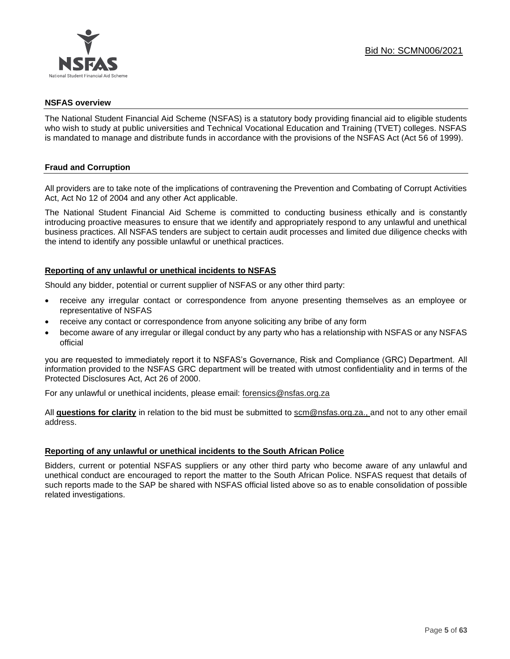

#### **NSFAS overview**

The National Student Financial Aid Scheme (NSFAS) is a statutory body providing financial aid to eligible students who wish to study at public universities and Technical Vocational Education and Training (TVET) colleges. NSFAS is mandated to manage and distribute funds in accordance with the provisions of the NSFAS Act (Act 56 of 1999).

## **Fraud and Corruption**

All providers are to take note of the implications of contravening the Prevention and Combating of Corrupt Activities Act, Act No 12 of 2004 and any other Act applicable.

The National Student Financial Aid Scheme is committed to conducting business ethically and is constantly introducing proactive measures to ensure that we identify and appropriately respond to any unlawful and unethical business practices. All NSFAS tenders are subject to certain audit processes and limited due diligence checks with the intend to identify any possible unlawful or unethical practices.

#### **Reporting of any unlawful or unethical incidents to NSFAS**

Should any bidder, potential or current supplier of NSFAS or any other third party:

- receive any irregular contact or correspondence from anyone presenting themselves as an employee or representative of NSFAS
- receive any contact or correspondence from anyone soliciting any bribe of any form
- become aware of any irregular or illegal conduct by any party who has a relationship with NSFAS or any NSFAS official

you are requested to immediately report it to NSFAS's Governance, Risk and Compliance (GRC) Department. All information provided to the NSFAS GRC department will be treated with utmost confidentiality and in terms of the Protected Disclosures Act, Act 26 of 2000.

For any unlawful or unethical incidents, please email: [forensics@nsfas.org.za](mailto:forensics@nsfas.org.za)

All **questions for clarity** in relation to the bid must be submitted to [scm@nsfas.org.za.](mailto:scm@nsfas.org.za), and not to any other email address.

## **Reporting of any unlawful or unethical incidents to the South African Police**

Bidders, current or potential NSFAS suppliers or any other third party who become aware of any unlawful and unethical conduct are encouraged to report the matter to the South African Police. NSFAS request that details of such reports made to the SAP be shared with NSFAS official listed above so as to enable consolidation of possible related investigations.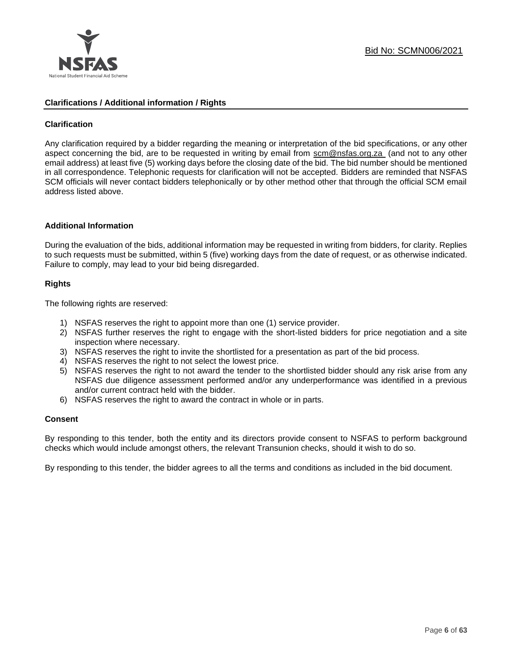

#### **Clarifications / Additional information / Rights**

#### **Clarification**

Any clarification required by a bidder regarding the meaning or interpretation of the bid specifications, or any other aspect concerning the bid, are to be requested in writing by email from [scm@nsfas.org.za](mailto:scm@nsfas.org.za) (and not to any other email address) at least five (5) working days before the closing date of the bid. The bid number should be mentioned in all correspondence. Telephonic requests for clarification will not be accepted. Bidders are reminded that NSFAS SCM officials will never contact bidders telephonically or by other method other that through the official SCM email address listed above.

#### **Additional Information**

During the evaluation of the bids, additional information may be requested in writing from bidders, for clarity. Replies to such requests must be submitted, within 5 (five) working days from the date of request, or as otherwise indicated. Failure to comply, may lead to your bid being disregarded.

#### **Rights**

The following rights are reserved:

- 1) NSFAS reserves the right to appoint more than one (1) service provider.
- 2) NSFAS further reserves the right to engage with the short-listed bidders for price negotiation and a site inspection where necessary.
- 3) NSFAS reserves the right to invite the shortlisted for a presentation as part of the bid process.
- 4) NSFAS reserves the right to not select the lowest price.
- 5) NSFAS reserves the right to not award the tender to the shortlisted bidder should any risk arise from any NSFAS due diligence assessment performed and/or any underperformance was identified in a previous and/or current contract held with the bidder.
- 6) NSFAS reserves the right to award the contract in whole or in parts.

#### **Consent**

By responding to this tender, both the entity and its directors provide consent to NSFAS to perform background checks which would include amongst others, the relevant Transunion checks, should it wish to do so.

By responding to this tender, the bidder agrees to all the terms and conditions as included in the bid document.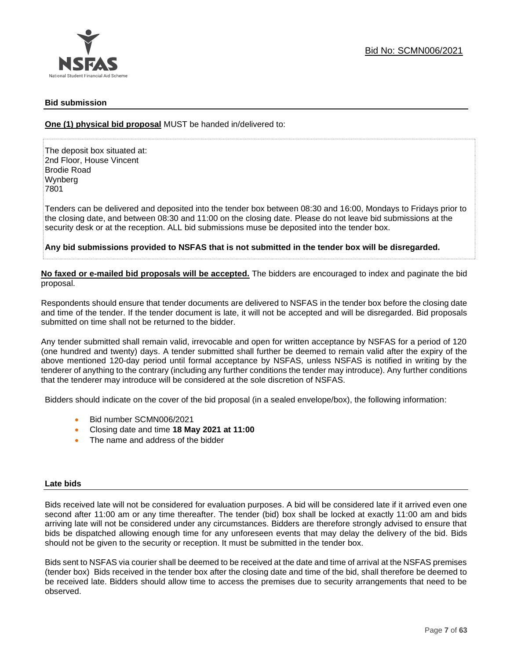

## **Bid submission**

**One (1) physical bid proposal** MUST be handed in/delivered to:

The deposit box situated at: 2nd Floor, House Vincent Brodie Road Wynberg 7801

Tenders can be delivered and deposited into the tender box between 08:30 and 16:00, Mondays to Fridays prior to the closing date, and between 08:30 and 11:00 on the closing date. Please do not leave bid submissions at the security desk or at the reception. ALL bid submissions muse be deposited into the tender box.

**Any bid submissions provided to NSFAS that is not submitted in the tender box will be disregarded.**

**No faxed or e-mailed bid proposals will be accepted.** The bidders are encouraged to index and paginate the bid proposal.

Respondents should ensure that tender documents are delivered to NSFAS in the tender box before the closing date and time of the tender. If the tender document is late, it will not be accepted and will be disregarded. Bid proposals submitted on time shall not be returned to the bidder.

Any tender submitted shall remain valid, irrevocable and open for written acceptance by NSFAS for a period of 120 (one hundred and twenty) days. A tender submitted shall further be deemed to remain valid after the expiry of the above mentioned 120-day period until formal acceptance by NSFAS, unless NSFAS is notified in writing by the tenderer of anything to the contrary (including any further conditions the tender may introduce). Any further conditions that the tenderer may introduce will be considered at the sole discretion of NSFAS.

Bidders should indicate on the cover of the bid proposal (in a sealed envelope/box), the following information:

- Bid number SCMN006/2021
- Closing date and time **18 May 2021 at 11:00**
- The name and address of the bidder

#### **Late bids**

Bids received late will not be considered for evaluation purposes. A bid will be considered late if it arrived even one second after 11:00 am or any time thereafter. The tender (bid) box shall be locked at exactly 11:00 am and bids arriving late will not be considered under any circumstances. Bidders are therefore strongly advised to ensure that bids be dispatched allowing enough time for any unforeseen events that may delay the delivery of the bid. Bids should not be given to the security or reception. It must be submitted in the tender box.

Bids sent to NSFAS via courier shall be deemed to be received at the date and time of arrival at the NSFAS premises (tender box) Bids received in the tender box after the closing date and time of the bid, shall therefore be deemed to be received late. Bidders should allow time to access the premises due to security arrangements that need to be observed.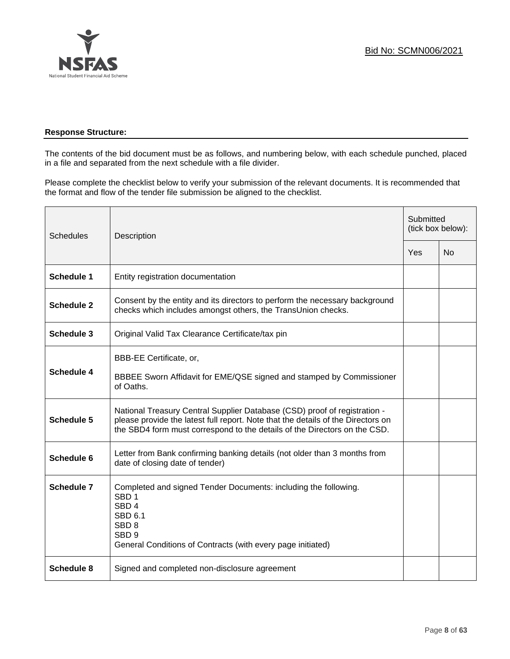

## **Response Structure:**

The contents of the bid document must be as follows, and numbering below, with each schedule punched, placed in a file and separated from the next schedule with a file divider.

Please complete the checklist below to verify your submission of the relevant documents. It is recommended that the format and flow of the tender file submission be aligned to the checklist.

| <b>Schedules</b>  | Description                                                                                                                                                                                                                                |  | Submitted<br>(tick box below): |  |
|-------------------|--------------------------------------------------------------------------------------------------------------------------------------------------------------------------------------------------------------------------------------------|--|--------------------------------|--|
|                   |                                                                                                                                                                                                                                            |  | <b>No</b>                      |  |
| <b>Schedule 1</b> | Entity registration documentation                                                                                                                                                                                                          |  |                                |  |
| <b>Schedule 2</b> | Consent by the entity and its directors to perform the necessary background<br>checks which includes amongst others, the TransUnion checks.                                                                                                |  |                                |  |
| <b>Schedule 3</b> | Original Valid Tax Clearance Certificate/tax pin                                                                                                                                                                                           |  |                                |  |
| <b>Schedule 4</b> | BBB-EE Certificate, or,<br>BBBEE Sworn Affidavit for EME/QSE signed and stamped by Commissioner<br>of Oaths.                                                                                                                               |  |                                |  |
| <b>Schedule 5</b> | National Treasury Central Supplier Database (CSD) proof of registration -<br>please provide the latest full report. Note that the details of the Directors on<br>the SBD4 form must correspond to the details of the Directors on the CSD. |  |                                |  |
| Schedule 6        | Letter from Bank confirming banking details (not older than 3 months from<br>date of closing date of tender)                                                                                                                               |  |                                |  |
| <b>Schedule 7</b> | Completed and signed Tender Documents: including the following.<br>SBD <sub>1</sub><br>SBD <sub>4</sub><br><b>SBD 6.1</b><br>SBD <sub>8</sub><br>SBD <sub>9</sub><br>General Conditions of Contracts (with every page initiated)           |  |                                |  |
| <b>Schedule 8</b> | Signed and completed non-disclosure agreement                                                                                                                                                                                              |  |                                |  |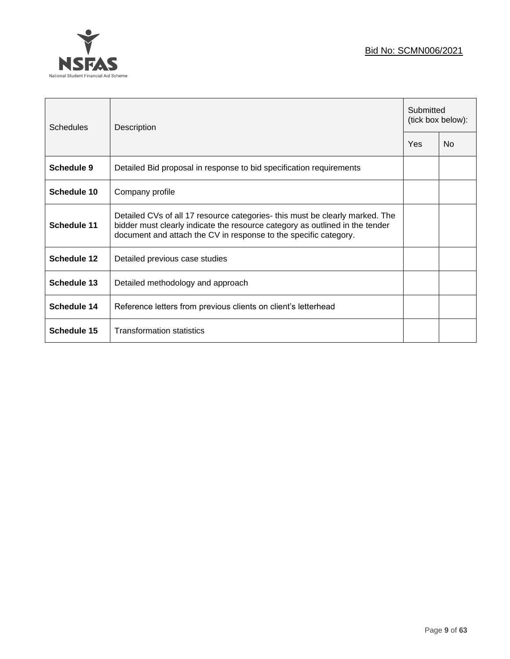



 $\overline{a}$ 

| Schedules          | Description                                                                                                                                                                                                                      |  | Submitted<br>(tick box below): |  |
|--------------------|----------------------------------------------------------------------------------------------------------------------------------------------------------------------------------------------------------------------------------|--|--------------------------------|--|
|                    |                                                                                                                                                                                                                                  |  | N <sub>0</sub>                 |  |
| Schedule 9         | Detailed Bid proposal in response to bid specification requirements                                                                                                                                                              |  |                                |  |
| Schedule 10        | Company profile                                                                                                                                                                                                                  |  |                                |  |
| Schedule 11        | Detailed CVs of all 17 resource categories- this must be clearly marked. The<br>bidder must clearly indicate the resource category as outlined in the tender<br>document and attach the CV in response to the specific category. |  |                                |  |
| Schedule 12        | Detailed previous case studies                                                                                                                                                                                                   |  |                                |  |
| <b>Schedule 13</b> | Detailed methodology and approach                                                                                                                                                                                                |  |                                |  |
| Schedule 14        | Reference letters from previous clients on client's letterhead                                                                                                                                                                   |  |                                |  |
| Schedule 15        | <b>Transformation statistics</b>                                                                                                                                                                                                 |  |                                |  |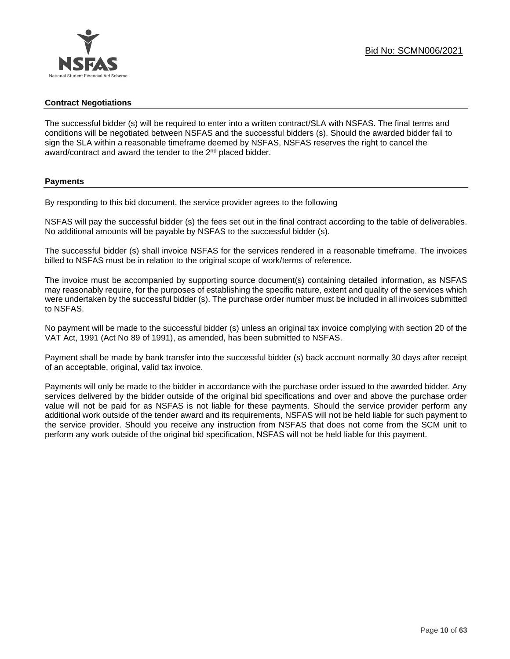#### **Contract Negotiations**

The successful bidder (s) will be required to enter into a written contract/SLA with NSFAS. The final terms and conditions will be negotiated between NSFAS and the successful bidders (s). Should the awarded bidder fail to sign the SLA within a reasonable timeframe deemed by NSFAS, NSFAS reserves the right to cancel the award/contract and award the tender to the 2<sup>nd</sup> placed bidder.

#### **Payments**

By responding to this bid document, the service provider agrees to the following

NSFAS will pay the successful bidder (s) the fees set out in the final contract according to the table of deliverables. No additional amounts will be payable by NSFAS to the successful bidder (s).

The successful bidder (s) shall invoice NSFAS for the services rendered in a reasonable timeframe. The invoices billed to NSFAS must be in relation to the original scope of work/terms of reference.

The invoice must be accompanied by supporting source document(s) containing detailed information, as NSFAS may reasonably require, for the purposes of establishing the specific nature, extent and quality of the services which were undertaken by the successful bidder (s). The purchase order number must be included in all invoices submitted to NSFAS.

No payment will be made to the successful bidder (s) unless an original tax invoice complying with section 20 of the VAT Act, 1991 (Act No 89 of 1991), as amended, has been submitted to NSFAS.

Payment shall be made by bank transfer into the successful bidder (s) back account normally 30 days after receipt of an acceptable, original, valid tax invoice.

Payments will only be made to the bidder in accordance with the purchase order issued to the awarded bidder. Any services delivered by the bidder outside of the original bid specifications and over and above the purchase order value will not be paid for as NSFAS is not liable for these payments. Should the service provider perform any additional work outside of the tender award and its requirements, NSFAS will not be held liable for such payment to the service provider. Should you receive any instruction from NSFAS that does not come from the SCM unit to perform any work outside of the original bid specification, NSFAS will not be held liable for this payment.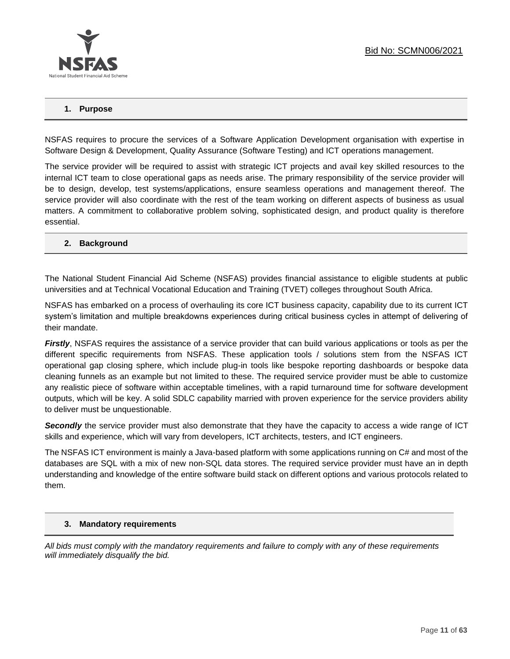

#### **1. Purpose**

NSFAS requires to procure the services of a Software Application Development organisation with expertise in Software Design & Development, Quality Assurance (Software Testing) and ICT operations management.

The service provider will be required to assist with strategic ICT projects and avail key skilled resources to the internal ICT team to close operational gaps as needs arise. The primary responsibility of the service provider will be to design, develop, test systems/applications, ensure seamless operations and management thereof. The service provider will also coordinate with the rest of the team working on different aspects of business as usual matters. A commitment to collaborative problem solving, sophisticated design, and product quality is therefore essential.

#### **2. Background**

The National Student Financial Aid Scheme (NSFAS) provides financial assistance to eligible students at public universities and at Technical Vocational Education and Training (TVET) colleges throughout South Africa.

NSFAS has embarked on a process of overhauling its core ICT business capacity, capability due to its current ICT system's limitation and multiple breakdowns experiences during critical business cycles in attempt of delivering of their mandate.

*Firstly*, NSFAS requires the assistance of a service provider that can build various applications or tools as per the different specific requirements from NSFAS. These application tools / solutions stem from the NSFAS ICT operational gap closing sphere, which include plug-in tools like bespoke reporting dashboards or bespoke data cleaning funnels as an example but not limited to these. The required service provider must be able to customize any realistic piece of software within acceptable timelines, with a rapid turnaround time for software development outputs, which will be key. A solid SDLC capability married with proven experience for the service providers ability to deliver must be unquestionable.

**Secondly** the service provider must also demonstrate that they have the capacity to access a wide range of ICT skills and experience, which will vary from developers, ICT architects, testers, and ICT engineers.

The NSFAS ICT environment is mainly a Java-based platform with some applications running on C# and most of the databases are SQL with a mix of new non-SQL data stores. The required service provider must have an in depth understanding and knowledge of the entire software build stack on different options and various protocols related to them.

#### **3. Mandatory requirements**

*All bids must comply with the mandatory requirements and failure to comply with any of these requirements will immediately disqualify the bid.*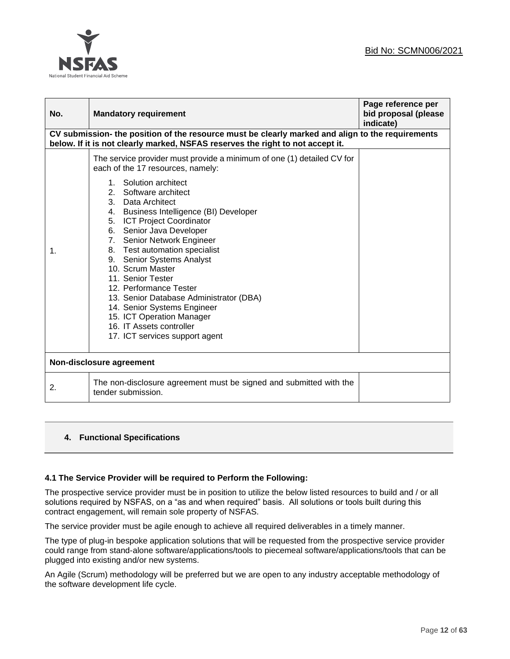

| No. | <b>Mandatory requirement</b>                                                                                                                                                                                                                                                                                                                                                                                                                                                                                                                                                                                                           | Page reference per<br>bid proposal (please<br>indicate) |
|-----|----------------------------------------------------------------------------------------------------------------------------------------------------------------------------------------------------------------------------------------------------------------------------------------------------------------------------------------------------------------------------------------------------------------------------------------------------------------------------------------------------------------------------------------------------------------------------------------------------------------------------------------|---------------------------------------------------------|
|     | CV submission- the position of the resource must be clearly marked and align to the requirements<br>below. If it is not clearly marked, NSFAS reserves the right to not accept it.                                                                                                                                                                                                                                                                                                                                                                                                                                                     |                                                         |
| 1.  | The service provider must provide a minimum of one (1) detailed CV for<br>each of the 17 resources, namely:<br>Solution architect<br>$1_{-}$<br>2.<br>Software architect<br>3. Data Architect<br>4. Business Intelligence (BI) Developer<br>5. ICT Project Coordinator<br>6. Senior Java Developer<br>7. Senior Network Engineer<br>8. Test automation specialist<br>9. Senior Systems Analyst<br>10. Scrum Master<br>11. Senior Tester<br>12. Performance Tester<br>13. Senior Database Administrator (DBA)<br>14. Senior Systems Engineer<br>15. ICT Operation Manager<br>16. IT Assets controller<br>17. ICT services support agent |                                                         |
|     | Non-disclosure agreement                                                                                                                                                                                                                                                                                                                                                                                                                                                                                                                                                                                                               |                                                         |
| 2.  | The non-disclosure agreement must be signed and submitted with the<br>tender submission.                                                                                                                                                                                                                                                                                                                                                                                                                                                                                                                                               |                                                         |

## **4. Functional Specifications**

#### **4.1 The Service Provider will be required to Perform the Following:**

The prospective service provider must be in position to utilize the below listed resources to build and / or all solutions required by NSFAS, on a "as and when required" basis. All solutions or tools built during this contract engagement, will remain sole property of NSFAS.

The service provider must be agile enough to achieve all required deliverables in a timely manner.

The type of plug-in bespoke application solutions that will be requested from the prospective service provider could range from stand-alone software/applications/tools to piecemeal software/applications/tools that can be plugged into existing and/or new systems.

An Agile (Scrum) methodology will be preferred but we are open to any industry acceptable methodology of the software development life cycle.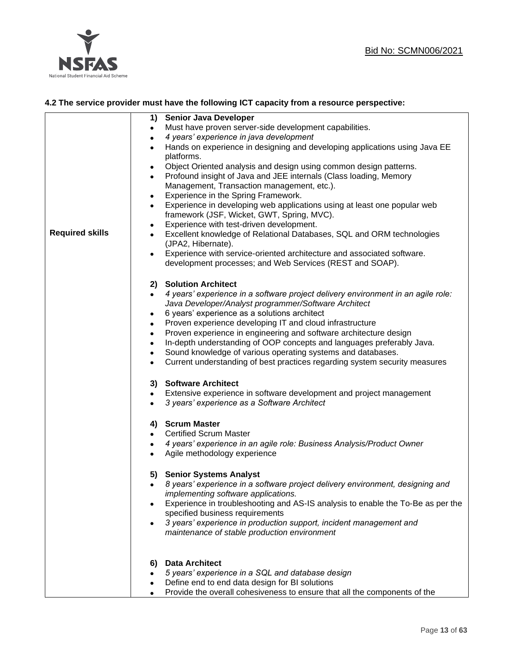



## **4.2 The service provider must have the following ICT capacity from a resource perspective:**

|                        | 1) Senior Java Developer                                                                              |
|------------------------|-------------------------------------------------------------------------------------------------------|
|                        | Must have proven server-side development capabilities.<br>$\bullet$                                   |
|                        | 4 years' experience in java development<br>$\bullet$                                                  |
|                        | Hands on experience in designing and developing applications using Java EE<br>$\bullet$<br>platforms. |
|                        | Object Oriented analysis and design using common design patterns.                                     |
|                        | ٠<br>Profound insight of Java and JEE internals (Class loading, Memory<br>$\bullet$                   |
|                        | Management, Transaction management, etc.).                                                            |
|                        | Experience in the Spring Framework.<br>٠                                                              |
|                        | Experience in developing web applications using at least one popular web<br>$\bullet$                 |
|                        | framework (JSF, Wicket, GWT, Spring, MVC).                                                            |
|                        | Experience with test-driven development.<br>$\bullet$                                                 |
| <b>Required skills</b> | Excellent knowledge of Relational Databases, SQL and ORM technologies<br>$\bullet$                    |
|                        | (JPA2, Hibernate).                                                                                    |
|                        | Experience with service-oriented architecture and associated software.<br>$\bullet$                   |
|                        | development processes; and Web Services (REST and SOAP).                                              |
|                        |                                                                                                       |
|                        | 2) Solution Architect                                                                                 |
|                        | 4 years' experience in a software project delivery environment in an agile role:<br>$\bullet$         |
|                        | Java Developer/Analyst programmer/Software Architect                                                  |
|                        | 6 years' experience as a solutions architect<br>$\bullet$                                             |
|                        | Proven experience developing IT and cloud infrastructure<br>$\bullet$                                 |
|                        | Proven experience in engineering and software architecture design<br>$\bullet$                        |
|                        | In-depth understanding of OOP concepts and languages preferably Java.<br>$\bullet$                    |
|                        | Sound knowledge of various operating systems and databases.<br>$\bullet$                              |
|                        | Current understanding of best practices regarding system security measures<br>$\bullet$               |
|                        | 3) Software Architect                                                                                 |
|                        | Extensive experience in software development and project management<br>$\bullet$                      |
|                        | 3 years' experience as a Software Architect<br>$\bullet$                                              |
|                        |                                                                                                       |
|                        | 4) Scrum Master                                                                                       |
|                        | <b>Certified Scrum Master</b><br>$\bullet$                                                            |
|                        | 4 years' experience in an agile role: Business Analysis/Product Owner<br>٠                            |
|                        | Agile methodology experience<br>$\bullet$                                                             |
|                        | 5) Senior Systems Analyst                                                                             |
|                        | 8 years' experience in a software project delivery environment, designing and<br>$\bullet$            |
|                        | implementing software applications.                                                                   |
|                        | Experience in troubleshooting and AS-IS analysis to enable the To-Be as per the                       |
|                        | specified business requirements                                                                       |
|                        | 3 years' experience in production support, incident management and                                    |
|                        | maintenance of stable production environment                                                          |
|                        |                                                                                                       |
|                        | <b>Data Architect</b><br>6)                                                                           |
|                        | 5 years' experience in a SQL and database design                                                      |
|                        | Define end to end data design for BI solutions                                                        |
|                        | Provide the overall cohesiveness to ensure that all the components of the                             |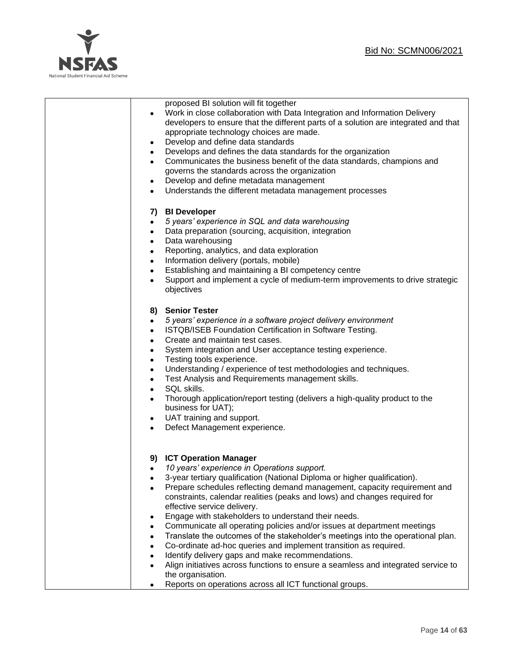

| proposed BI solution will fit together<br>Work in close collaboration with Data Integration and Information Delivery<br>developers to ensure that the different parts of a solution are integrated and that<br>appropriate technology choices are made.<br>Develop and define data standards<br>$\bullet$<br>Develops and defines the data standards for the organization<br>$\bullet$<br>Communicates the business benefit of the data standards, champions and<br>governs the standards across the organization<br>Develop and define metadata management<br>$\bullet$<br>Understands the different metadata management processes<br>$\bullet$                                                                                                                                                                                                                            |
|-----------------------------------------------------------------------------------------------------------------------------------------------------------------------------------------------------------------------------------------------------------------------------------------------------------------------------------------------------------------------------------------------------------------------------------------------------------------------------------------------------------------------------------------------------------------------------------------------------------------------------------------------------------------------------------------------------------------------------------------------------------------------------------------------------------------------------------------------------------------------------|
| 7) BI Developer<br>5 years' experience in SQL and data warehousing<br>$\bullet$<br>Data preparation (sourcing, acquisition, integration<br>Data warehousing<br>$\bullet$<br>Reporting, analytics, and data exploration<br>$\bullet$<br>Information delivery (portals, mobile)<br>$\bullet$<br>Establishing and maintaining a BI competency centre<br>$\bullet$<br>Support and implement a cycle of medium-term improvements to drive strategic<br>$\bullet$<br>objectives                                                                                                                                                                                                                                                                                                                                                                                                   |
| 8) Senior Tester<br>5 years' experience in a software project delivery environment<br>$\bullet$<br>ISTQB/ISEB Foundation Certification in Software Testing.<br>$\bullet$<br>Create and maintain test cases.<br>$\bullet$<br>System integration and User acceptance testing experience.<br>$\bullet$<br>Testing tools experience.<br>$\bullet$<br>Understanding / experience of test methodologies and techniques.<br>$\bullet$<br>Test Analysis and Requirements management skills.<br>$\bullet$<br>SQL skills.<br>$\bullet$<br>Thorough application/report testing (delivers a high-quality product to the<br>$\bullet$<br>business for UAT);<br>UAT training and support.<br>$\bullet$<br>Defect Management experience.<br>$\bullet$                                                                                                                                      |
| 9) ICT Operation Manager<br>10 years' experience in Operations support.<br>3-year tertiary qualification (National Diploma or higher qualification).<br>Prepare schedules reflecting demand management, capacity requirement and<br>constraints, calendar realities (peaks and lows) and changes required for<br>effective service delivery.<br>Engage with stakeholders to understand their needs.<br>$\bullet$<br>Communicate all operating policies and/or issues at department meetings<br>Translate the outcomes of the stakeholder's meetings into the operational plan.<br>Co-ordinate ad-hoc queries and implement transition as required.<br>Identify delivery gaps and make recommendations.<br>Align initiatives across functions to ensure a seamless and integrated service to<br>the organisation.<br>Reports on operations across all ICT functional groups. |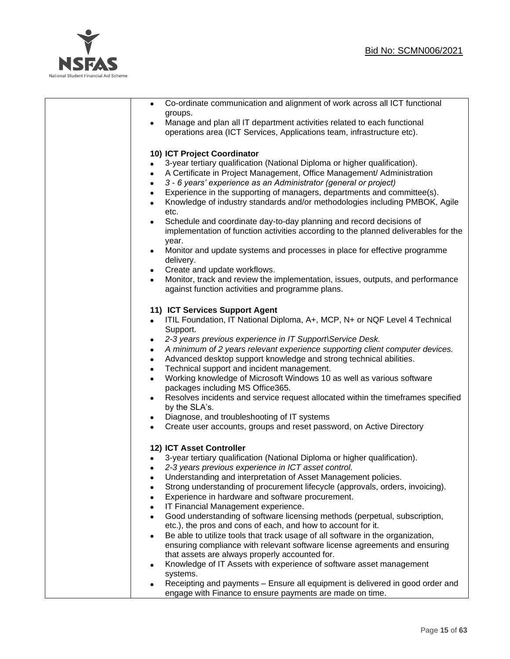

| Co-ordinate communication and alignment of work across all ICT functional<br>groups.                                                                                                                                                                                                          |
|-----------------------------------------------------------------------------------------------------------------------------------------------------------------------------------------------------------------------------------------------------------------------------------------------|
| Manage and plan all IT department activities related to each functional<br>operations area (ICT Services, Applications team, infrastructure etc).                                                                                                                                             |
| 10) ICT Project Coordinator<br>3-year tertiary qualification (National Diploma or higher qualification).<br>$\bullet$<br>A Certificate in Project Management, Office Management/ Administration<br>$\bullet$<br>3 - 6 years' experience as an Administrator (general or project)<br>$\bullet$ |
| Experience in the supporting of managers, departments and committee(s).<br>$\bullet$<br>Knowledge of industry standards and/or methodologies including PMBOK, Agile<br>$\bullet$<br>etc.                                                                                                      |
| Schedule and coordinate day-to-day planning and record decisions of<br>$\bullet$<br>implementation of function activities according to the planned deliverables for the<br>year.                                                                                                              |
| Monitor and update systems and processes in place for effective programme<br>$\bullet$<br>delivery.<br>Create and update workflows.<br>$\bullet$                                                                                                                                              |
| Monitor, track and review the implementation, issues, outputs, and performance<br>against function activities and programme plans.                                                                                                                                                            |
| 11) ICT Services Support Agent<br>ITIL Foundation, IT National Diploma, A+, MCP, N+ or NQF Level 4 Technical<br>Support.                                                                                                                                                                      |
| 2-3 years previous experience in IT Support\Service Desk.<br>$\bullet$<br>A minimum of 2 years relevant experience supporting client computer devices.<br>$\bullet$<br>Advanced desktop support knowledge and strong technical abilities.<br>$\bullet$                                        |
| Technical support and incident management.<br>$\bullet$<br>Working knowledge of Microsoft Windows 10 as well as various software<br>$\bullet$<br>packages including MS Office365.<br>Resolves incidents and service request allocated within the timeframes specified<br>$\bullet$            |
| by the SLA's.<br>Diagnose, and troubleshooting of IT systems<br>$\bullet$<br>Create user accounts, groups and reset password, on Active Directory<br>$\bullet$                                                                                                                                |
| 12) ICT Asset Controller                                                                                                                                                                                                                                                                      |
| 3-year tertiary qualification (National Diploma or higher qualification).<br>2-3 years previous experience in ICT asset control.<br>$\bullet$                                                                                                                                                 |
| Understanding and interpretation of Asset Management policies.<br>Strong understanding of procurement lifecycle (approvals, orders, invoicing).<br>$\bullet$<br>Experience in hardware and software procurement.<br>$\bullet$<br>IT Financial Management experience.<br>$\bullet$             |
| Good understanding of software licensing methods (perpetual, subscription,<br>$\bullet$<br>etc.), the pros and cons of each, and how to account for it.<br>Be able to utilize tools that track usage of all software in the organization,<br>$\bullet$                                        |
| ensuring compliance with relevant software license agreements and ensuring<br>that assets are always properly accounted for.<br>Knowledge of IT Assets with experience of software asset management                                                                                           |
| systems.<br>Receipting and payments - Ensure all equipment is delivered in good order and<br>engage with Finance to ensure payments are made on time.                                                                                                                                         |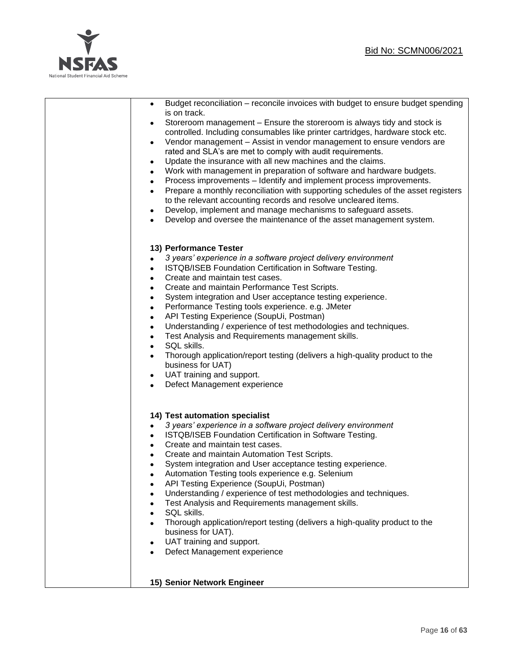

| Budget reconciliation - reconcile invoices with budget to ensure budget spending<br>$\bullet$<br>is on track.<br>Storeroom management – Ensure the storeroom is always tidy and stock is<br>$\bullet$<br>controlled. Including consumables like printer cartridges, hardware stock etc.<br>Vendor management - Assist in vendor management to ensure vendors are<br>$\bullet$<br>rated and SLA's are met to comply with audit requirements.<br>Update the insurance with all new machines and the claims.<br>$\bullet$<br>Work with management in preparation of software and hardware budgets.<br>$\bullet$<br>Process improvements - Identify and implement process improvements.<br>$\bullet$<br>Prepare a monthly reconciliation with supporting schedules of the asset registers<br>$\bullet$<br>to the relevant accounting records and resolve uncleared items.<br>Develop, implement and manage mechanisms to safeguard assets.<br>$\bullet$<br>Develop and oversee the maintenance of the asset management system.<br>$\bullet$ |
|-----------------------------------------------------------------------------------------------------------------------------------------------------------------------------------------------------------------------------------------------------------------------------------------------------------------------------------------------------------------------------------------------------------------------------------------------------------------------------------------------------------------------------------------------------------------------------------------------------------------------------------------------------------------------------------------------------------------------------------------------------------------------------------------------------------------------------------------------------------------------------------------------------------------------------------------------------------------------------------------------------------------------------------------|
| 13) Performance Tester<br>3 years' experience in a software project delivery environment<br>$\bullet$<br>ISTQB/ISEB Foundation Certification in Software Testing.<br>٠<br>Create and maintain test cases.<br>٠<br>Create and maintain Performance Test Scripts.<br>$\bullet$<br>System integration and User acceptance testing experience.<br>$\bullet$<br>Performance Testing tools experience. e.g. JMeter<br>$\bullet$<br>API Testing Experience (SoupUi, Postman)<br>$\bullet$<br>Understanding / experience of test methodologies and techniques.<br>$\bullet$<br>Test Analysis and Requirements management skills.<br>$\bullet$<br>SQL skills.<br>$\bullet$<br>Thorough application/report testing (delivers a high-quality product to the<br>$\bullet$<br>business for UAT)<br>UAT training and support.<br>$\bullet$<br>Defect Management experience<br>$\bullet$                                                                                                                                                               |
| 14) Test automation specialist<br>3 years' experience in a software project delivery environment<br>$\bullet$<br>ISTQB/ISEB Foundation Certification in Software Testing.<br>$\bullet$<br>Create and maintain test cases.<br>$\bullet$<br>Create and maintain Automation Test Scripts.<br>$\bullet$<br>System integration and User acceptance testing experience.<br>$\bullet$<br>Automation Testing tools experience e.g. Selenium<br>API Testing Experience (SoupUi, Postman)<br>Understanding / experience of test methodologies and techniques.<br>Test Analysis and Requirements management skills.<br>SQL skills.<br>Thorough application/report testing (delivers a high-quality product to the<br>business for UAT).<br>UAT training and support.<br>٠<br>Defect Management experience                                                                                                                                                                                                                                          |
| 15) Senior Network Engineer                                                                                                                                                                                                                                                                                                                                                                                                                                                                                                                                                                                                                                                                                                                                                                                                                                                                                                                                                                                                             |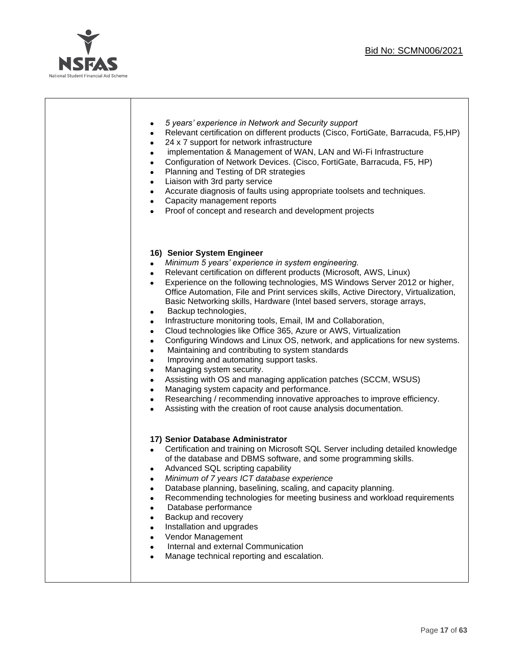

| 5 years' experience in Network and Security support<br>$\bullet$<br>Relevant certification on different products (Cisco, FortiGate, Barracuda, F5,HP)<br>$\bullet$<br>24 x 7 support for network infrastructure<br>$\bullet$<br>implementation & Management of WAN, LAN and Wi-Fi Infrastructure<br>$\bullet$<br>Configuration of Network Devices. (Cisco, FortiGate, Barracuda, F5, HP)<br>$\bullet$<br>Planning and Testing of DR strategies<br>$\bullet$<br>Liaison with 3rd party service<br>$\bullet$<br>Accurate diagnosis of faults using appropriate toolsets and techniques.<br>$\bullet$<br>Capacity management reports<br>$\bullet$<br>Proof of concept and research and development projects<br>$\bullet$                                                                                                                                                                                                                                                                                                                                                                                                                                                                                                             |
|-----------------------------------------------------------------------------------------------------------------------------------------------------------------------------------------------------------------------------------------------------------------------------------------------------------------------------------------------------------------------------------------------------------------------------------------------------------------------------------------------------------------------------------------------------------------------------------------------------------------------------------------------------------------------------------------------------------------------------------------------------------------------------------------------------------------------------------------------------------------------------------------------------------------------------------------------------------------------------------------------------------------------------------------------------------------------------------------------------------------------------------------------------------------------------------------------------------------------------------|
| 16) Senior System Engineer<br>Minimum 5 years' experience in system engineering.<br>$\bullet$<br>Relevant certification on different products (Microsoft, AWS, Linux)<br>$\bullet$<br>Experience on the following technologies, MS Windows Server 2012 or higher,<br>$\bullet$<br>Office Automation, File and Print services skills, Active Directory, Virtualization,<br>Basic Networking skills, Hardware (Intel based servers, storage arrays,<br>Backup technologies,<br>٠<br>Infrastructure monitoring tools, Email, IM and Collaboration,<br>$\bullet$<br>Cloud technologies like Office 365, Azure or AWS, Virtualization<br>$\bullet$<br>Configuring Windows and Linux OS, network, and applications for new systems.<br>$\bullet$<br>Maintaining and contributing to system standards<br>$\bullet$<br>Improving and automating support tasks.<br>$\bullet$<br>Managing system security.<br>$\bullet$<br>Assisting with OS and managing application patches (SCCM, WSUS)<br>$\bullet$<br>Managing system capacity and performance.<br>$\bullet$<br>Researching / recommending innovative approaches to improve efficiency.<br>$\bullet$<br>Assisting with the creation of root cause analysis documentation.<br>$\bullet$ |
| 17) Senior Database Administrator<br>Certification and training on Microsoft SQL Server including detailed knowledge<br>$\bullet$<br>of the database and DBMS software, and some programming skills.<br>Advanced SQL scripting capability<br>Minimum of 7 years ICT database experience<br>$\bullet$<br>Database planning, baselining, scaling, and capacity planning.<br>Recommending technologies for meeting business and workload requirements<br>$\bullet$<br>Database performance<br>$\bullet$<br>Backup and recovery<br>$\bullet$<br>Installation and upgrades<br>$\bullet$<br>Vendor Management<br>$\bullet$<br>Internal and external Communication<br>$\bullet$<br>Manage technical reporting and escalation.<br>$\bullet$                                                                                                                                                                                                                                                                                                                                                                                                                                                                                               |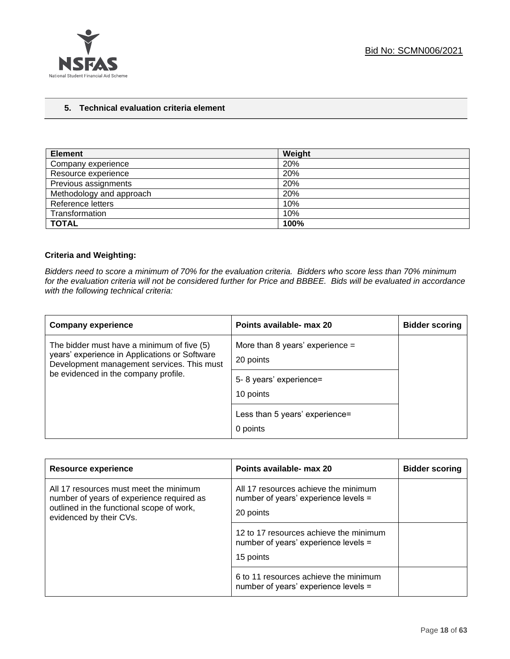

#### **5. Technical evaluation criteria element**

| <b>Element</b>           | Weight |
|--------------------------|--------|
| Company experience       | 20%    |
| Resource experience      | 20%    |
| Previous assignments     | 20%    |
| Methodology and approach | 20%    |
| Reference letters        | 10%    |
| Transformation           | 10%    |
| <b>TOTAL</b>             | 100%   |

## **Criteria and Weighting:**

*Bidders need to score a minimum of 70% for the evaluation criteria. Bidders who score less than 70% minimum for the evaluation criteria will not be considered further for Price and BBBEE. Bids will be evaluated in accordance with the following technical criteria:*

| <b>Company experience</b>                                                                                                                                                         | Points available- max 20                                                              | <b>Bidder scoring</b> |
|-----------------------------------------------------------------------------------------------------------------------------------------------------------------------------------|---------------------------------------------------------------------------------------|-----------------------|
| The bidder must have a minimum of five (5)<br>years' experience in Applications or Software<br>Development management services. This must<br>be evidenced in the company profile. | More than 8 years' experience $=$<br>20 points<br>5-8 years' experience=<br>10 points |                       |
|                                                                                                                                                                                   | Less than 5 years' experience=<br>0 points                                            |                       |

| <b>Resource experience</b>                                                                                                                                  | Points available- max 20                                                                    | <b>Bidder scoring</b> |
|-------------------------------------------------------------------------------------------------------------------------------------------------------------|---------------------------------------------------------------------------------------------|-----------------------|
| All 17 resources must meet the minimum<br>number of years of experience required as<br>outlined in the functional scope of work,<br>evidenced by their CVs. | All 17 resources achieve the minimum<br>number of years' experience levels =<br>20 points   |                       |
|                                                                                                                                                             | 12 to 17 resources achieve the minimum<br>number of years' experience levels =<br>15 points |                       |
|                                                                                                                                                             | 6 to 11 resources achieve the minimum<br>number of years' experience levels =               |                       |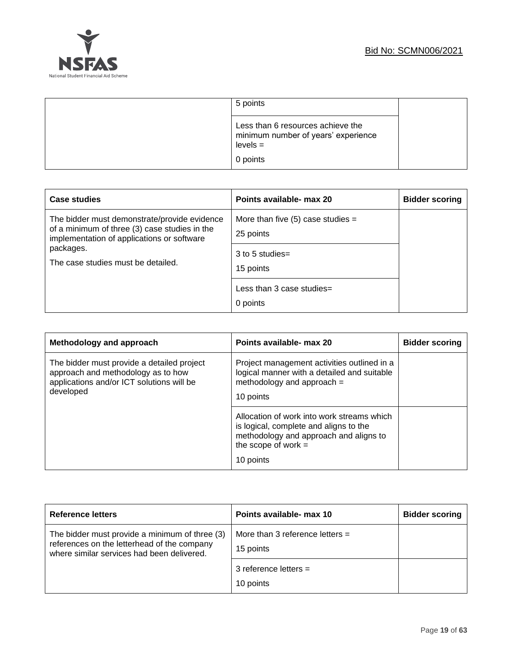



| 5 points                                                                                           |  |
|----------------------------------------------------------------------------------------------------|--|
| Less than 6 resources achieve the<br>minimum number of years' experience<br>$levels =$<br>0 points |  |

| Case studies                                                                                                                                                                                   | Points available- max 20                                                           | <b>Bidder scoring</b> |
|------------------------------------------------------------------------------------------------------------------------------------------------------------------------------------------------|------------------------------------------------------------------------------------|-----------------------|
| The bidder must demonstrate/provide evidence<br>of a minimum of three (3) case studies in the<br>implementation of applications or software<br>packages.<br>The case studies must be detailed. | More than five $(5)$ case studies =<br>25 points<br>$3$ to 5 studies=<br>15 points |                       |
|                                                                                                                                                                                                | Less than 3 case studies=<br>0 points                                              |                       |

| Methodology and approach                                                                                                                   | Points available- max 20                                                                                                                                             | <b>Bidder scoring</b> |
|--------------------------------------------------------------------------------------------------------------------------------------------|----------------------------------------------------------------------------------------------------------------------------------------------------------------------|-----------------------|
| The bidder must provide a detailed project<br>approach and methodology as to how<br>applications and/or ICT solutions will be<br>developed | Project management activities outlined in a<br>logical manner with a detailed and suitable<br>methodology and approach =<br>10 points                                |                       |
|                                                                                                                                            | Allocation of work into work streams which<br>is logical, complete and aligns to the<br>methodology and approach and aligns to<br>the scope of work $=$<br>10 points |                       |

| <b>Reference letters</b>                                                                                                                    | Points available- max 10                       | <b>Bidder scoring</b> |
|---------------------------------------------------------------------------------------------------------------------------------------------|------------------------------------------------|-----------------------|
| The bidder must provide a minimum of three (3)<br>references on the letterhead of the company<br>where similar services had been delivered. | More than 3 reference letters $=$<br>15 points |                       |
|                                                                                                                                             | 3 reference letters $=$<br>10 points           |                       |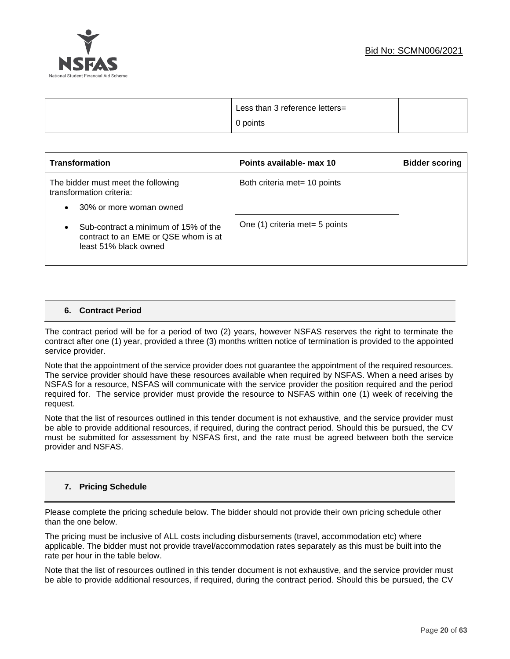



| Less than 3 reference letters= |  |
|--------------------------------|--|
| 0 points                       |  |

| <b>Transformation</b>                                                                                 | Points available- max 10       | <b>Bidder scoring</b> |
|-------------------------------------------------------------------------------------------------------|--------------------------------|-----------------------|
| The bidder must meet the following<br>transformation criteria:                                        | Both criteria met = 10 points  |                       |
| 30% or more woman owned<br>$\bullet$                                                                  |                                |                       |
| Sub-contract a minimum of 15% of the<br>contract to an EME or QSE whom is at<br>least 51% black owned | One (1) criteria met= 5 points |                       |

#### **6. Contract Period**

The contract period will be for a period of two (2) years, however NSFAS reserves the right to terminate the contract after one (1) year, provided a three (3) months written notice of termination is provided to the appointed service provider.

Note that the appointment of the service provider does not guarantee the appointment of the required resources. The service provider should have these resources available when required by NSFAS. When a need arises by NSFAS for a resource, NSFAS will communicate with the service provider the position required and the period required for. The service provider must provide the resource to NSFAS within one (1) week of receiving the request.

Note that the list of resources outlined in this tender document is not exhaustive, and the service provider must be able to provide additional resources, if required, during the contract period. Should this be pursued, the CV must be submitted for assessment by NSFAS first, and the rate must be agreed between both the service provider and NSFAS.

## **7. Pricing Schedule**

Please complete the pricing schedule below. The bidder should not provide their own pricing schedule other than the one below.

The pricing must be inclusive of ALL costs including disbursements (travel, accommodation etc) where applicable. The bidder must not provide travel/accommodation rates separately as this must be built into the rate per hour in the table below.

Note that the list of resources outlined in this tender document is not exhaustive, and the service provider must be able to provide additional resources, if required, during the contract period. Should this be pursued, the CV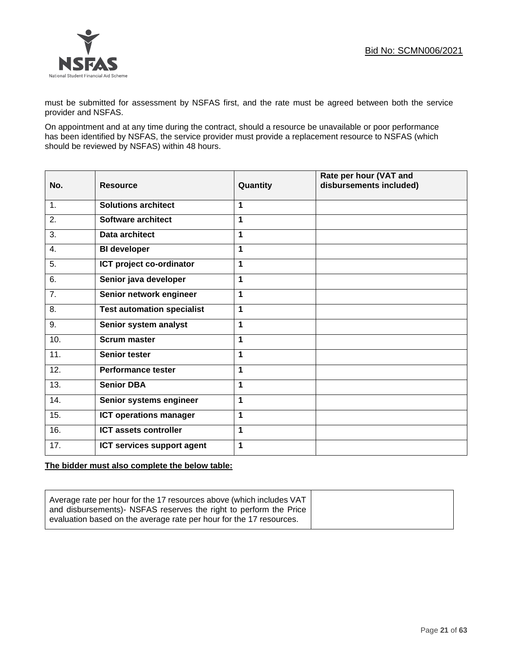

must be submitted for assessment by NSFAS first, and the rate must be agreed between both the service provider and NSFAS.

On appointment and at any time during the contract, should a resource be unavailable or poor performance has been identified by NSFAS, the service provider must provide a replacement resource to NSFAS (which should be reviewed by NSFAS) within 48 hours.

| No. | <b>Resource</b>                   | Quantity     | Rate per hour (VAT and<br>disbursements included) |
|-----|-----------------------------------|--------------|---------------------------------------------------|
| 1.  | <b>Solutions architect</b>        | 1            |                                                   |
| 2.  | Software architect                | 1            |                                                   |
| 3.  | Data architect                    | 1            |                                                   |
| 4.  | <b>BI</b> developer               | 1            |                                                   |
| 5.  | ICT project co-ordinator          | 1            |                                                   |
| 6.  | Senior java developer             | 1            |                                                   |
| 7.  | Senior network engineer           | 1            |                                                   |
| 8.  | <b>Test automation specialist</b> | 1            |                                                   |
| 9.  | Senior system analyst             | $\mathbf{1}$ |                                                   |
| 10. | <b>Scrum master</b>               | 1            |                                                   |
| 11. | <b>Senior tester</b>              | 1            |                                                   |
| 12. | Performance tester                | 1            |                                                   |
| 13. | <b>Senior DBA</b>                 | 1            |                                                   |
| 14. | Senior systems engineer           | 1            |                                                   |
| 15. | <b>ICT operations manager</b>     | 1            |                                                   |
| 16. | <b>ICT assets controller</b>      | 1            |                                                   |
| 17. | ICT services support agent        | 1            |                                                   |

#### **The bidder must also complete the below table:**

| Average rate per hour for the 17 resources above (which includes VAT  <br>and disbursements)- NSFAS reserves the right to perform the Price |
|---------------------------------------------------------------------------------------------------------------------------------------------|
|---------------------------------------------------------------------------------------------------------------------------------------------|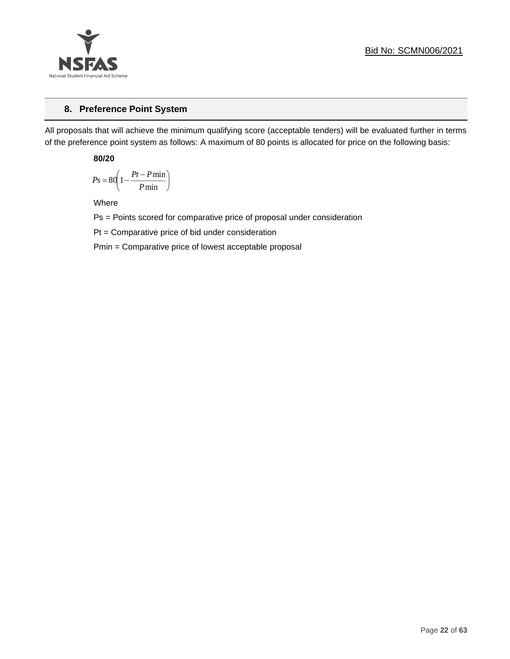

## **8. Preference Point System**

All proposals that will achieve the minimum qualifying score (acceptable tenders) will be evaluated further in terms of the preference point system as follows: A maximum of 80 points is allocated for price on the following basis:

**80/20**

$$
Ps = 80 \left( 1 - \frac{Pt - P \min}{P \min} \right)
$$

Where

Ps = Points scored for comparative price of proposal under consideration

Pt = Comparative price of bid under consideration

Pmin = Comparative price of lowest acceptable proposal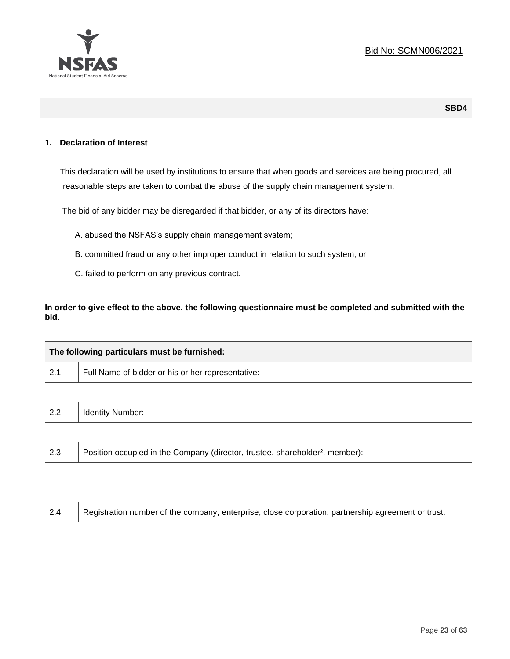

**SBD4**

## **1. Declaration of Interest**

This declaration will be used by institutions to ensure that when goods and services are being procured, all reasonable steps are taken to combat the abuse of the supply chain management system.

The bid of any bidder may be disregarded if that bidder, or any of its directors have:

- A. abused the NSFAS's supply chain management system;
- B. committed fraud or any other improper conduct in relation to such system; or
- C. failed to perform on any previous contract.

**In order to give effect to the above, the following questionnaire must be completed and submitted with the bid**.

| The following particulars must be furnished: |                                                                                          |  |  |  |
|----------------------------------------------|------------------------------------------------------------------------------------------|--|--|--|
| 2.1                                          | Full Name of bidder or his or her representative:                                        |  |  |  |
|                                              |                                                                                          |  |  |  |
| 2.2                                          | <b>Identity Number:</b>                                                                  |  |  |  |
|                                              |                                                                                          |  |  |  |
| 2.3                                          | Position occupied in the Company (director, trustee, shareholder <sup>2</sup> , member): |  |  |  |
|                                              |                                                                                          |  |  |  |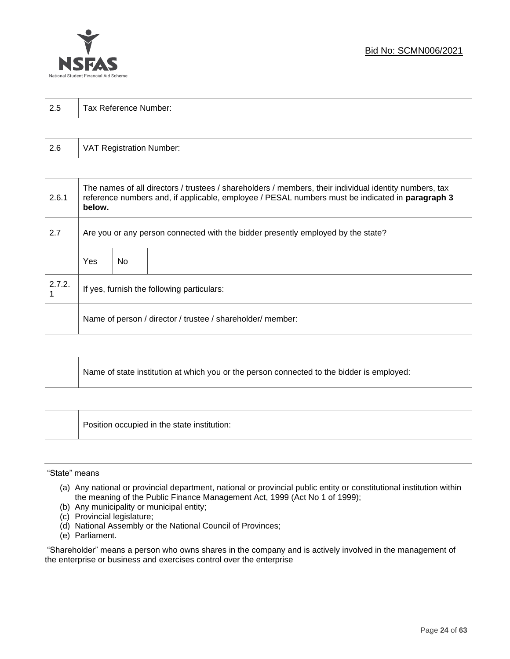

| 2.5 | Tax Reference Number: |
|-----|-----------------------|
|     |                       |

| 2.6 | VAT Registration Number: |
|-----|--------------------------|
|-----|--------------------------|

| 2.6.1  | The names of all directors / trustees / shareholders / members, their individual identity numbers, tax<br>reference numbers and, if applicable, employee / PESAL numbers must be indicated in paragraph 3<br>below. |     |  |  |  |
|--------|---------------------------------------------------------------------------------------------------------------------------------------------------------------------------------------------------------------------|-----|--|--|--|
| 2.7    | Are you or any person connected with the bidder presently employed by the state?                                                                                                                                    |     |  |  |  |
|        | Yes                                                                                                                                                                                                                 | No. |  |  |  |
| 2.7.2. | If yes, furnish the following particulars:                                                                                                                                                                          |     |  |  |  |
|        | Name of person / director / trustee / shareholder/ member:                                                                                                                                                          |     |  |  |  |

| Name of state institution at which you or the person connected to the bidder is employed: |
|-------------------------------------------------------------------------------------------|
|                                                                                           |

Position occupied in the state institution:

#### "State" means

Τ

- (a) Any national or provincial department, national or provincial public entity or constitutional institution within the meaning of the Public Finance Management Act, 1999 (Act No 1 of 1999);
- (b) Any municipality or municipal entity;
- (c) Provincial legislature;
- (d) National Assembly or the National Council of Provinces;
- (e) Parliament.

"Shareholder" means a person who owns shares in the company and is actively involved in the management of the enterprise or business and exercises control over the enterprise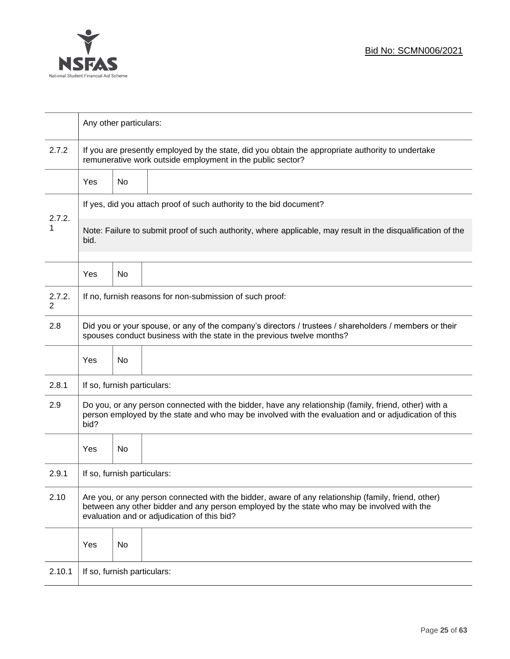

|             |                                                                                                                                                                                                                                                  | Any other particulars:                                                                                                                                          |                                                                     |  |  |  |
|-------------|--------------------------------------------------------------------------------------------------------------------------------------------------------------------------------------------------------------------------------------------------|-----------------------------------------------------------------------------------------------------------------------------------------------------------------|---------------------------------------------------------------------|--|--|--|
| 2.7.2       |                                                                                                                                                                                                                                                  | If you are presently employed by the state, did you obtain the appropriate authority to undertake<br>remunerative work outside employment in the public sector? |                                                                     |  |  |  |
|             | <b>Yes</b>                                                                                                                                                                                                                                       | No                                                                                                                                                              |                                                                     |  |  |  |
|             |                                                                                                                                                                                                                                                  |                                                                                                                                                                 | If yes, did you attach proof of such authority to the bid document? |  |  |  |
| 2.7.2.<br>1 | Note: Failure to submit proof of such authority, where applicable, may result in the disqualification of the<br>bid.                                                                                                                             |                                                                                                                                                                 |                                                                     |  |  |  |
|             | Yes                                                                                                                                                                                                                                              | No                                                                                                                                                              |                                                                     |  |  |  |
| 2.7.2.<br>2 |                                                                                                                                                                                                                                                  |                                                                                                                                                                 | If no, furnish reasons for non-submission of such proof:            |  |  |  |
| 2.8         | Did you or your spouse, or any of the company's directors / trustees / shareholders / members or their<br>spouses conduct business with the state in the previous twelve months?                                                                 |                                                                                                                                                                 |                                                                     |  |  |  |
|             | Yes                                                                                                                                                                                                                                              | No                                                                                                                                                              |                                                                     |  |  |  |
| 2.8.1       | If so, furnish particulars:                                                                                                                                                                                                                      |                                                                                                                                                                 |                                                                     |  |  |  |
| 2.9         | Do you, or any person connected with the bidder, have any relationship (family, friend, other) with a<br>person employed by the state and who may be involved with the evaluation and or adjudication of this<br>bid?                            |                                                                                                                                                                 |                                                                     |  |  |  |
|             | Yes                                                                                                                                                                                                                                              | No                                                                                                                                                              |                                                                     |  |  |  |
| 2.9.1       | If so, furnish particulars:                                                                                                                                                                                                                      |                                                                                                                                                                 |                                                                     |  |  |  |
| 2.10        | Are you, or any person connected with the bidder, aware of any relationship (family, friend, other)<br>between any other bidder and any person employed by the state who may be involved with the<br>evaluation and or adjudication of this bid? |                                                                                                                                                                 |                                                                     |  |  |  |
|             | Yes                                                                                                                                                                                                                                              | No                                                                                                                                                              |                                                                     |  |  |  |
| 2.10.1      | If so, furnish particulars:                                                                                                                                                                                                                      |                                                                                                                                                                 |                                                                     |  |  |  |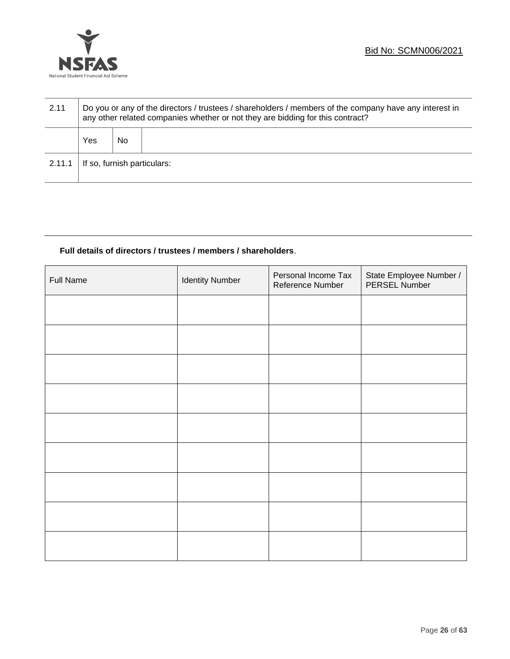

| 2.11   | Do you or any of the directors / trustees / shareholders / members of the company have any interest in<br>any other related companies whether or not they are bidding for this contract? |    |  |  |  |
|--------|------------------------------------------------------------------------------------------------------------------------------------------------------------------------------------------|----|--|--|--|
|        | Yes                                                                                                                                                                                      | No |  |  |  |
| 2.11.1 | If so, furnish particulars:                                                                                                                                                              |    |  |  |  |

## **Full details of directors / trustees / members / shareholders**.

| Full Name | <b>Identity Number</b> | Personal Income Tax<br>Reference Number | State Employee Number /<br>PERSEL Number |
|-----------|------------------------|-----------------------------------------|------------------------------------------|
|           |                        |                                         |                                          |
|           |                        |                                         |                                          |
|           |                        |                                         |                                          |
|           |                        |                                         |                                          |
|           |                        |                                         |                                          |
|           |                        |                                         |                                          |
|           |                        |                                         |                                          |
|           |                        |                                         |                                          |
|           |                        |                                         |                                          |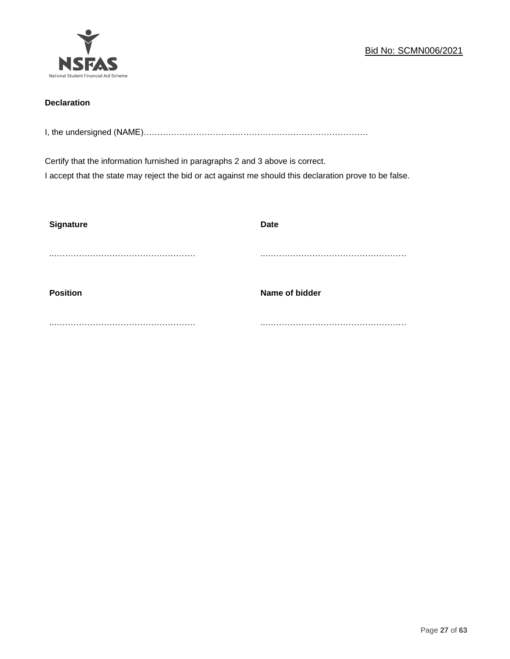

## **Declaration**

I, the undersigned (NAME)………………………………………………………………………

Certify that the information furnished in paragraphs 2 and 3 above is correct. I accept that the state may reject the bid or act against me should this declaration prove to be false.

| <b>Signature</b> | <b>Date</b>    |
|------------------|----------------|
|                  |                |
| <b>Position</b>  | Name of bidder |
|                  |                |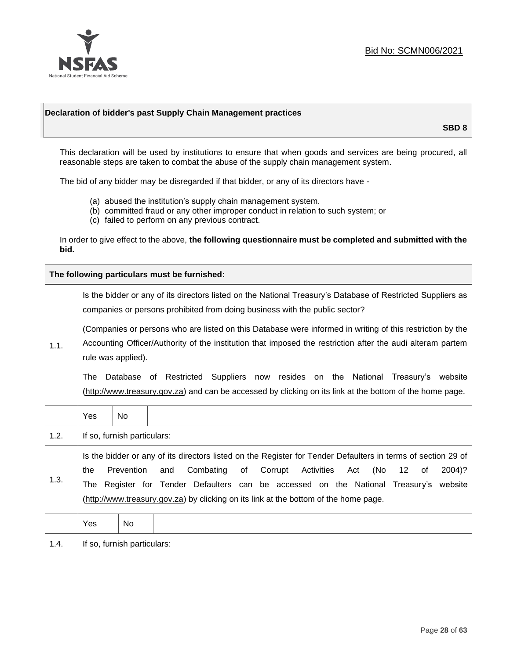

#### **Declaration of bidder's past Supply Chain Management practices**

**SBD 8**

This declaration will be used by institutions to ensure that when goods and services are being procured, all reasonable steps are taken to combat the abuse of the supply chain management system.

The bid of any bidder may be disregarded if that bidder, or any of its directors have -

- (a) abused the institution's supply chain management system.
- (b) committed fraud or any other improper conduct in relation to such system; or
- (c) failed to perform on any previous contract.

In order to give effect to the above, **the following questionnaire must be completed and submitted with the bid.**

**The following particulars must be furnished:**

| 1.1. | Is the bidder or any of its directors listed on the National Treasury's Database of Restricted Suppliers as<br>companies or persons prohibited from doing business with the public sector?                                                                                                                                                                                                                |                             |                                                                                                                                                                                             |  |  |  |
|------|-----------------------------------------------------------------------------------------------------------------------------------------------------------------------------------------------------------------------------------------------------------------------------------------------------------------------------------------------------------------------------------------------------------|-----------------------------|---------------------------------------------------------------------------------------------------------------------------------------------------------------------------------------------|--|--|--|
|      | (Companies or persons who are listed on this Database were informed in writing of this restriction by the<br>Accounting Officer/Authority of the institution that imposed the restriction after the audi alteram partem<br>rule was applied).                                                                                                                                                             |                             |                                                                                                                                                                                             |  |  |  |
|      | The                                                                                                                                                                                                                                                                                                                                                                                                       |                             | Database of Restricted Suppliers now resides on the National Treasury's website<br>(http://www.treasury.gov.za) and can be accessed by clicking on its link at the bottom of the home page. |  |  |  |
|      | Yes                                                                                                                                                                                                                                                                                                                                                                                                       | <b>No</b>                   |                                                                                                                                                                                             |  |  |  |
| 1.2. |                                                                                                                                                                                                                                                                                                                                                                                                           | If so, furnish particulars: |                                                                                                                                                                                             |  |  |  |
| 1.3. | Is the bidder or any of its directors listed on the Register for Tender Defaulters in terms of section 29 of<br>Prevention<br>Activities<br>(No<br>Combating<br>of<br>Corrupt<br>12<br>2004)?<br>the<br>and<br>Act<br>of<br>The Register for Tender Defaulters can be accessed on the National Treasury's website<br>(http://www.treasury.gov.za) by clicking on its link at the bottom of the home page. |                             |                                                                                                                                                                                             |  |  |  |
|      | Yes                                                                                                                                                                                                                                                                                                                                                                                                       | No.                         |                                                                                                                                                                                             |  |  |  |
| 1.4. |                                                                                                                                                                                                                                                                                                                                                                                                           | If so, furnish particulars: |                                                                                                                                                                                             |  |  |  |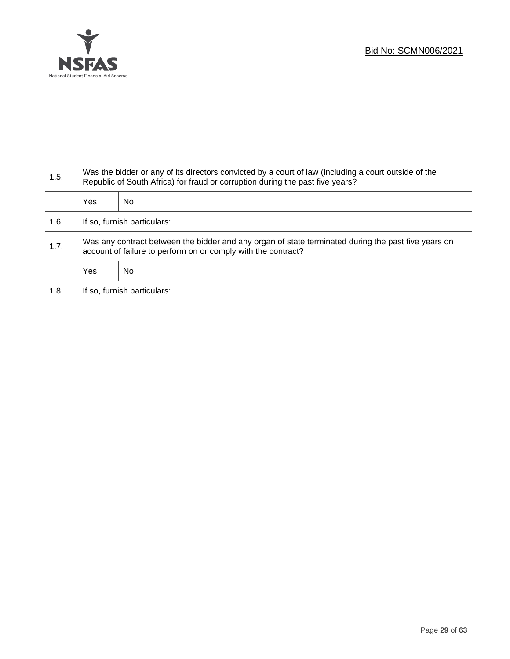

T

| 1.5. | Was the bidder or any of its directors convicted by a court of law (including a court outside of the<br>Republic of South Africa) for fraud or corruption during the past five years? |    |  |  |
|------|---------------------------------------------------------------------------------------------------------------------------------------------------------------------------------------|----|--|--|
|      | <b>Yes</b>                                                                                                                                                                            | No |  |  |
| 1.6. | If so, furnish particulars:                                                                                                                                                           |    |  |  |
| 1.7. | Was any contract between the bidder and any organ of state terminated during the past five years on<br>account of failure to perform on or comply with the contract?                  |    |  |  |
|      | <b>Yes</b>                                                                                                                                                                            | No |  |  |
| 1.8. | If so, furnish particulars:                                                                                                                                                           |    |  |  |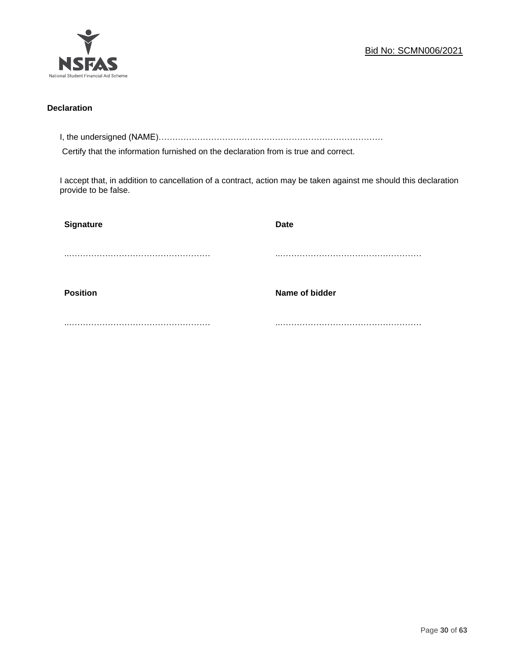

## **Declaration**

I, the undersigned (NAME)………………………………………………………………………

Certify that the information furnished on the declaration from is true and correct.

I accept that, in addition to cancellation of a contract, action may be taken against me should this declaration provide to be false.

| Signature       | <b>Date</b>    |
|-----------------|----------------|
|                 |                |
|                 |                |
| <b>Position</b> | Name of bidder |
|                 |                |
|                 |                |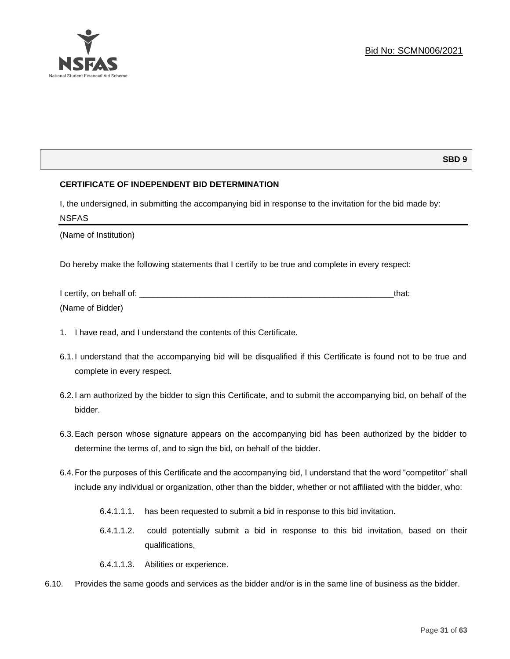

## **SBD 9**

## **CERTIFICATE OF INDEPENDENT BID DETERMINATION**

I, the undersigned, in submitting the accompanying bid in response to the invitation for the bid made by: NSFAS

(Name of Institution)

Do hereby make the following statements that I certify to be true and complete in every respect:

| I certify, on behalf of: |  |
|--------------------------|--|
| (Name of Bidder)         |  |

- 1. I have read, and I understand the contents of this Certificate.
- 6.1.I understand that the accompanying bid will be disqualified if this Certificate is found not to be true and complete in every respect.
- 6.2.I am authorized by the bidder to sign this Certificate, and to submit the accompanying bid, on behalf of the bidder.
- 6.3.Each person whose signature appears on the accompanying bid has been authorized by the bidder to determine the terms of, and to sign the bid, on behalf of the bidder.
- 6.4.For the purposes of this Certificate and the accompanying bid, I understand that the word "competitor" shall include any individual or organization, other than the bidder, whether or not affiliated with the bidder, who:
	- 6.4.1.1.1. has been requested to submit a bid in response to this bid invitation.
	- 6.4.1.1.2. could potentially submit a bid in response to this bid invitation, based on their qualifications,
	- 6.4.1.1.3. Abilities or experience.
- 6.10. Provides the same goods and services as the bidder and/or is in the same line of business as the bidder.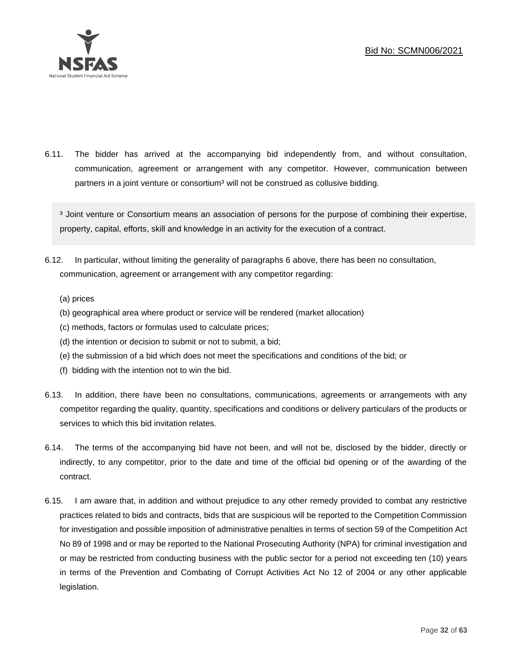

6.11. The bidder has arrived at the accompanying bid independently from, and without consultation, communication, agreement or arrangement with any competitor. However, communication between partners in a joint venture or consortium<sup>3</sup> will not be construed as collusive bidding.

<sup>3</sup> Joint venture or Consortium means an association of persons for the purpose of combining their expertise, property, capital, efforts, skill and knowledge in an activity for the execution of a contract.

- 6.12. In particular, without limiting the generality of paragraphs 6 above, there has been no consultation, communication, agreement or arrangement with any competitor regarding:
	- (a) prices
	- (b) geographical area where product or service will be rendered (market allocation)
	- (c) methods, factors or formulas used to calculate prices;
	- (d) the intention or decision to submit or not to submit, a bid;
	- (e) the submission of a bid which does not meet the specifications and conditions of the bid; or
	- (f) bidding with the intention not to win the bid.
- 6.13. In addition, there have been no consultations, communications, agreements or arrangements with any competitor regarding the quality, quantity, specifications and conditions or delivery particulars of the products or services to which this bid invitation relates.
- 6.14. The terms of the accompanying bid have not been, and will not be, disclosed by the bidder, directly or indirectly, to any competitor, prior to the date and time of the official bid opening or of the awarding of the contract.
- 6.15. I am aware that, in addition and without prejudice to any other remedy provided to combat any restrictive practices related to bids and contracts, bids that are suspicious will be reported to the Competition Commission for investigation and possible imposition of administrative penalties in terms of section 59 of the Competition Act No 89 of 1998 and or may be reported to the National Prosecuting Authority (NPA) for criminal investigation and or may be restricted from conducting business with the public sector for a period not exceeding ten (10) years in terms of the Prevention and Combating of Corrupt Activities Act No 12 of 2004 or any other applicable legislation.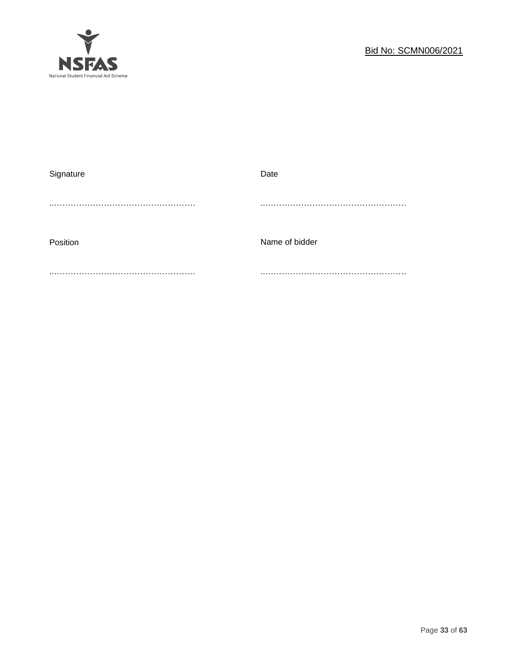

| Signature | Date           |
|-----------|----------------|
|           |                |
|           |                |
|           |                |
| Position  | Name of bidder |
|           |                |
|           |                |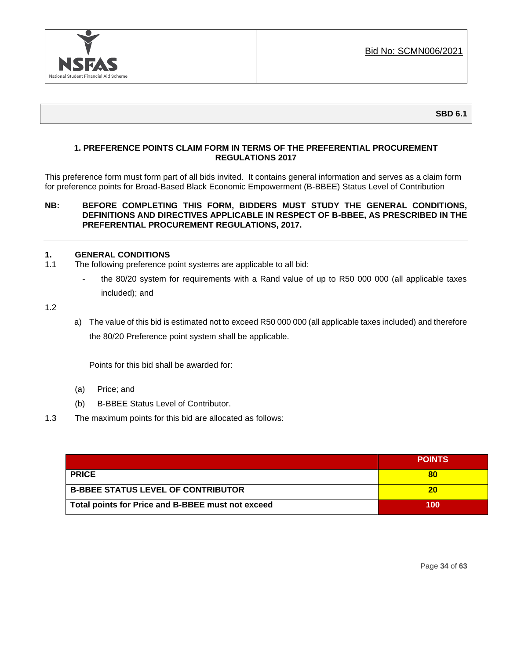

## **1. PREFERENCE POINTS CLAIM FORM IN TERMS OF THE PREFERENTIAL PROCUREMENT REGULATIONS 2017**

This preference form must form part of all bids invited. It contains general information and serves as a claim form for preference points for Broad-Based Black Economic Empowerment (B-BBEE) Status Level of Contribution

## **NB: BEFORE COMPLETING THIS FORM, BIDDERS MUST STUDY THE GENERAL CONDITIONS, DEFINITIONS AND DIRECTIVES APPLICABLE IN RESPECT OF B-BBEE, AS PRESCRIBED IN THE PREFERENTIAL PROCUREMENT REGULATIONS, 2017.**

#### **1. GENERAL CONDITIONS**

- 1.1 The following preference point systems are applicable to all bid:
	- the 80/20 system for requirements with a Rand value of up to R50 000 000 (all applicable taxes included); and

1.2

a) The value of this bid is estimated not to exceed R50 000 000 (all applicable taxes included) and therefore the 80/20 Preference point system shall be applicable.

Points for this bid shall be awarded for:

- (a) Price; and
- (b) B-BBEE Status Level of Contributor.
- 1.3 The maximum points for this bid are allocated as follows:

|                                                   | <b>POINTS</b> |
|---------------------------------------------------|---------------|
| <b>PRICE</b>                                      | 80            |
| <b>B-BBEE STATUS LEVEL OF CONTRIBUTOR</b>         | 20            |
| Total points for Price and B-BBEE must not exceed | 100           |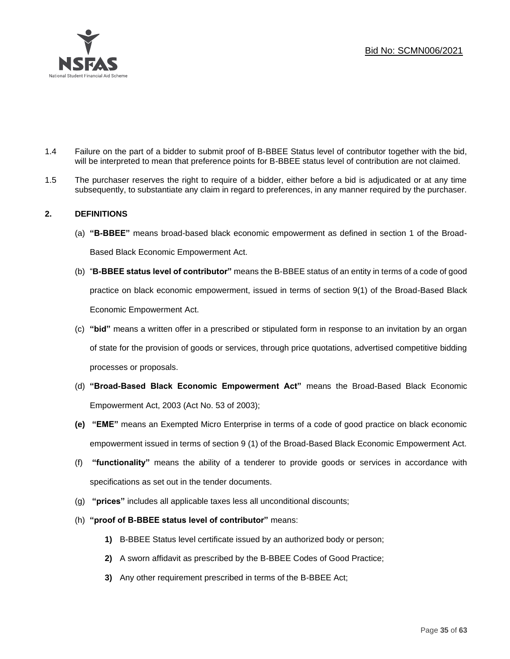

- 1.4 Failure on the part of a bidder to submit proof of B-BBEE Status level of contributor together with the bid, will be interpreted to mean that preference points for B-BBEE status level of contribution are not claimed.
- 1.5 The purchaser reserves the right to require of a bidder, either before a bid is adjudicated or at any time subsequently, to substantiate any claim in regard to preferences, in any manner required by the purchaser.

## **2. DEFINITIONS**

- (a) **"B-BBEE"** means broad-based black economic empowerment as defined in section 1 of the Broad-Based Black Economic Empowerment Act.
- (b) "**B-BBEE status level of contributor"** means the B-BBEE status of an entity in terms of a code of good practice on black economic empowerment, issued in terms of section 9(1) of the Broad-Based Black Economic Empowerment Act.
- (c) **"bid"** means a written offer in a prescribed or stipulated form in response to an invitation by an organ of state for the provision of goods or services, through price quotations, advertised competitive bidding processes or proposals.
- (d) **"Broad-Based Black Economic Empowerment Act"** means the Broad-Based Black Economic Empowerment Act, 2003 (Act No. 53 of 2003);
- **(e) "EME"** means an Exempted Micro Enterprise in terms of a code of good practice on black economic empowerment issued in terms of section 9 (1) of the Broad-Based Black Economic Empowerment Act.
- (f) **"functionality"** means the ability of a tenderer to provide goods or services in accordance with specifications as set out in the tender documents.
- (g) **"prices"** includes all applicable taxes less all unconditional discounts;
- (h) **"proof of B-BBEE status level of contributor"** means:
	- **1)** B-BBEE Status level certificate issued by an authorized body or person;
	- **2)** A sworn affidavit as prescribed by the B-BBEE Codes of Good Practice;
	- **3)** Any other requirement prescribed in terms of the B-BBEE Act;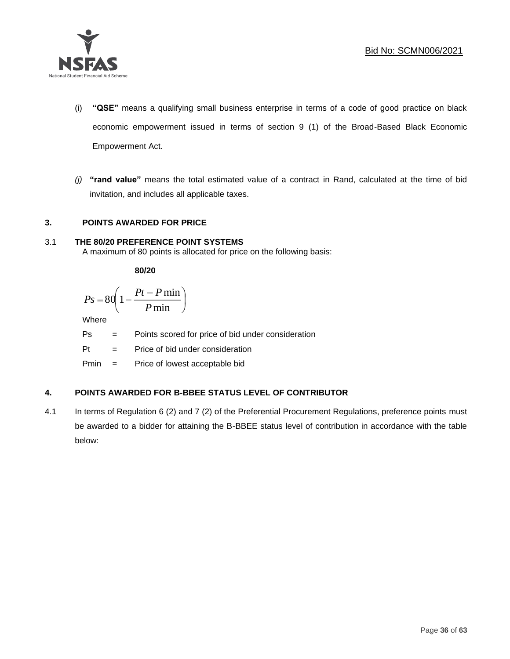

- (i) **"QSE"** means a qualifying small business enterprise in terms of a code of good practice on black economic empowerment issued in terms of section 9 (1) of the Broad-Based Black Economic Empowerment Act.
- *(j)* **"rand value"** means the total estimated value of a contract in Rand, calculated at the time of bid invitation, and includes all applicable taxes.

## **3. POINTS AWARDED FOR PRICE**

## 3.1 **THE 80/20 PREFERENCE POINT SYSTEMS**

A maximum of 80 points is allocated for price on the following basis:

**80/20**

$$
Ps = 80 \left( 1 - \frac{Pt - P \min}{P \min} \right)
$$

Where

Ps = Points scored for price of bid under consideration

l

Pt = Price of bid under consideration

Pmin = Price of lowest acceptable bid

## **4. POINTS AWARDED FOR B-BBEE STATUS LEVEL OF CONTRIBUTOR**

4.1 In terms of Regulation 6 (2) and 7 (2) of the Preferential Procurement Regulations, preference points must be awarded to a bidder for attaining the B-BBEE status level of contribution in accordance with the table below: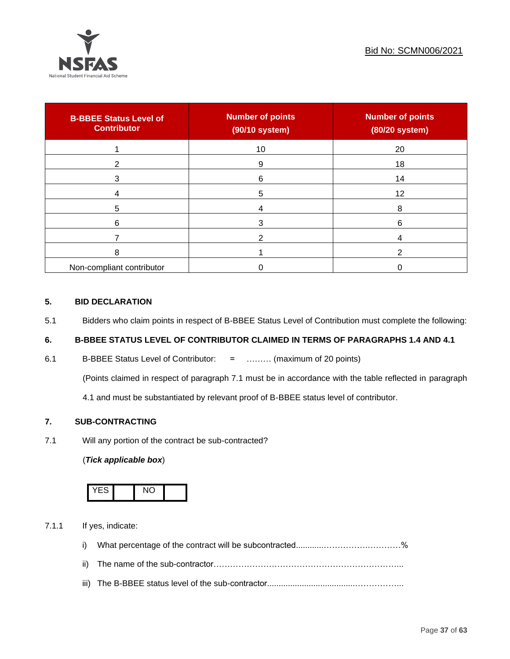

| <b>B-BBEE Status Level of</b><br><b>Contributor</b> | <b>Number of points</b><br>(90/10 system) | <b>Number of points</b><br>(80/20 system) |
|-----------------------------------------------------|-------------------------------------------|-------------------------------------------|
|                                                     | 10                                        | 20                                        |
| 2                                                   | 9                                         | 18                                        |
| 3                                                   | 6                                         | 14                                        |
|                                                     | 5                                         | 12                                        |
| 5                                                   |                                           | 8                                         |
| 6                                                   |                                           | 6                                         |
|                                                     |                                           |                                           |
| 8                                                   |                                           | ົ                                         |
| Non-compliant contributor                           |                                           |                                           |

## **5. BID DECLARATION**

5.1 Bidders who claim points in respect of B-BBEE Status Level of Contribution must complete the following:

## **6. B-BBEE STATUS LEVEL OF CONTRIBUTOR CLAIMED IN TERMS OF PARAGRAPHS 1.4 AND 4.1**

6.1 B-BBEE Status Level of Contributor: = ……… (maximum of 20 points)

(Points claimed in respect of paragraph 7.1 must be in accordance with the table reflected in paragraph

4.1 and must be substantiated by relevant proof of B-BBEE status level of contributor.

## **7. SUB-CONTRACTING**

7.1 Will any portion of the contract be sub-contracted?

## (*Tick applicable box*)



7.1.1 If yes, indicate:

- i) What percentage of the contract will be subcontracted............…………….…………%
- ii) The name of the sub-contractor…………………………………………………………...
- iii) The B-BBEE status level of the sub-contractor......................................……………...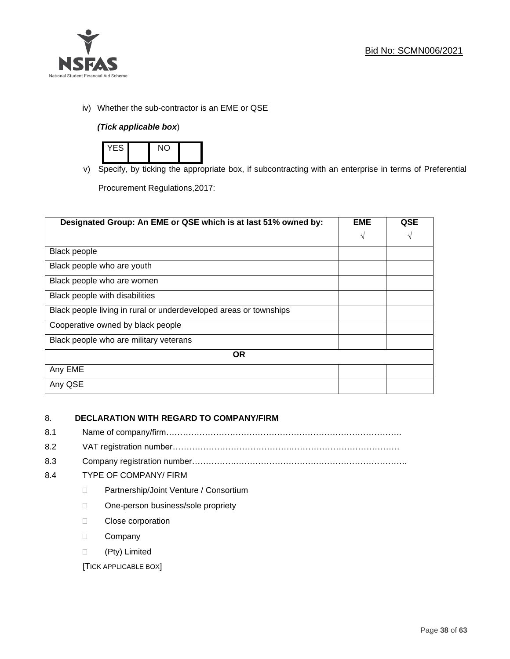

iv) Whether the sub-contractor is an EME or QSE

## *(Tick applicable box*)



v) Specify, by ticking the appropriate box, if subcontracting with an enterprise in terms of Preferential

Procurement Regulations,2017:

| Designated Group: An EME or QSE which is at last 51% owned by:    | <b>EME</b> | QSE |
|-------------------------------------------------------------------|------------|-----|
|                                                                   | $\sqrt{ }$ | V   |
| Black people                                                      |            |     |
| Black people who are youth                                        |            |     |
| Black people who are women                                        |            |     |
| Black people with disabilities                                    |            |     |
| Black people living in rural or underdeveloped areas or townships |            |     |
| Cooperative owned by black people                                 |            |     |
| Black people who are military veterans                            |            |     |
| <b>OR</b>                                                         |            |     |
| Any EME                                                           |            |     |
| Any QSE                                                           |            |     |

## 8. **DECLARATION WITH REGARD TO COMPANY/FIRM**

- 8.1 Name of company/firm………………………………………………………………………….
- 8.2 VAT registration number…………………………………….…………………………………
- 8.3 Company registration number…………….……………………….…………………………….

## 8.4 TYPE OF COMPANY/ FIRM

- D Partnership/Joint Venture / Consortium
- □ One-person business/sole propriety
- **Close corporation**
- D Company
- (Pty) Limited

[TICK APPLICABLE BOX]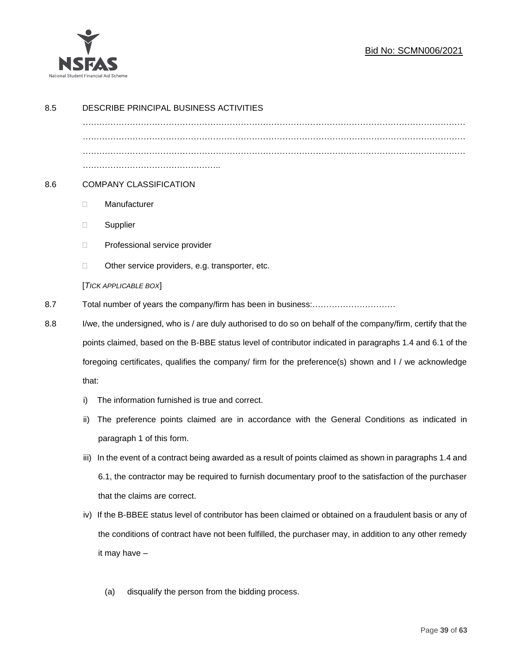

## Bid No: SCMN006/2021

| 8.5 | DESCRIBE PRINCIPAL BUSINESS ACTIVITIES                                                                          |                                                                                                           |  |
|-----|-----------------------------------------------------------------------------------------------------------------|-----------------------------------------------------------------------------------------------------------|--|
|     |                                                                                                                 |                                                                                                           |  |
|     |                                                                                                                 |                                                                                                           |  |
|     |                                                                                                                 |                                                                                                           |  |
| 8.6 | <b>COMPANY CLASSIFICATION</b>                                                                                   |                                                                                                           |  |
|     | $\Box$                                                                                                          | Manufacturer                                                                                              |  |
|     | $\Box$                                                                                                          | Supplier                                                                                                  |  |
|     | $\Box$                                                                                                          | Professional service provider                                                                             |  |
|     | □                                                                                                               | Other service providers, e.g. transporter, etc.                                                           |  |
|     |                                                                                                                 | [TICK APPLICABLE BOX]                                                                                     |  |
| 8.7 |                                                                                                                 |                                                                                                           |  |
| 8.8 | I/we, the undersigned, who is / are duly authorised to do so on behalf of the company/firm, certify that the    |                                                                                                           |  |
|     |                                                                                                                 | points claimed, based on the B-BBE status level of contributor indicated in paragraphs 1.4 and 6.1 of the |  |
|     | foregoing certificates, qualifies the company/ firm for the preference(s) shown and I / we acknowledge<br>that: |                                                                                                           |  |
|     |                                                                                                                 |                                                                                                           |  |
|     | i)                                                                                                              | The information furnished is true and correct.                                                            |  |
|     | ii)                                                                                                             | The preference points claimed are in accordance with the General Conditions as indicated in               |  |
|     |                                                                                                                 | paragraph 1 of this form.                                                                                 |  |
|     | iii)                                                                                                            | In the event of a contract being awarded as a result of points claimed as shown in paragraphs 1.4 and     |  |
|     |                                                                                                                 | 6.1, the contractor may be required to furnish documentary proof to the satisfaction of the purchaser     |  |
|     |                                                                                                                 | that the claims are correct.                                                                              |  |
|     | iv)                                                                                                             | If the B-BBEE status level of contributor has been claimed or obtained on a fraudulent basis or any of    |  |
|     |                                                                                                                 | the conditions of contract have not been fulfilled, the purchaser may, in addition to any other remedy    |  |
|     |                                                                                                                 | it may have -                                                                                             |  |
|     |                                                                                                                 |                                                                                                           |  |
|     |                                                                                                                 | disqualify the person from the bidding process.<br>(a)                                                    |  |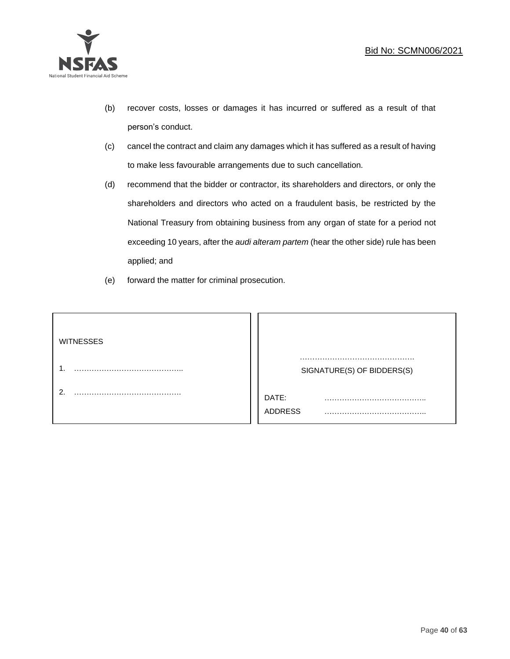

- (b) recover costs, losses or damages it has incurred or suffered as a result of that person's conduct.
- (c) cancel the contract and claim any damages which it has suffered as a result of having to make less favourable arrangements due to such cancellation.
- (d) recommend that the bidder or contractor, its shareholders and directors, or only the shareholders and directors who acted on a fraudulent basis, be restricted by the National Treasury from obtaining business from any organ of state for a period not exceeding 10 years, after the *audi alteram partem* (hear the other side) rule has been applied; and
- (e) forward the matter for criminal prosecution.

| <b>WITNESSES</b> |                              |  |
|------------------|------------------------------|--|
|                  | SIGNATURE(S) OF BIDDERS(S)   |  |
|                  | DATE:<br>.<br><b>ADDRESS</b> |  |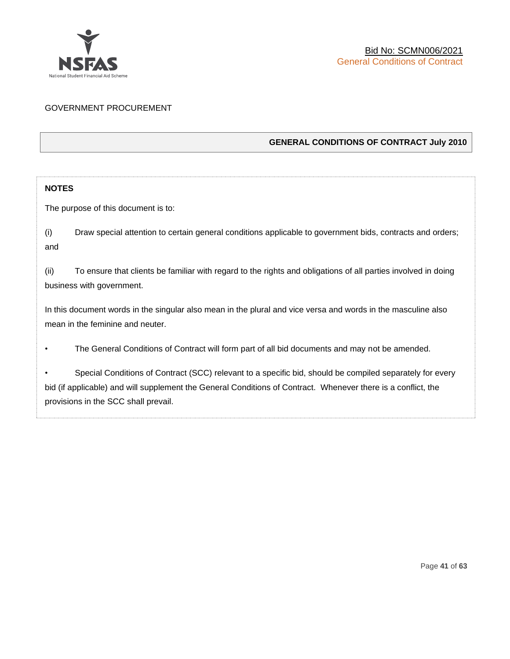

## GOVERNMENT PROCUREMENT

## **GENERAL CONDITIONS OF CONTRACT July 2010**

## **NOTES**

The purpose of this document is to:

(i) Draw special attention to certain general conditions applicable to government bids, contracts and orders; and

(ii) To ensure that clients be familiar with regard to the rights and obligations of all parties involved in doing business with government.

In this document words in the singular also mean in the plural and vice versa and words in the masculine also mean in the feminine and neuter.

• The General Conditions of Contract will form part of all bid documents and may not be amended.

Special Conditions of Contract (SCC) relevant to a specific bid, should be compiled separately for every bid (if applicable) and will supplement the General Conditions of Contract. Whenever there is a conflict, the provisions in the SCC shall prevail.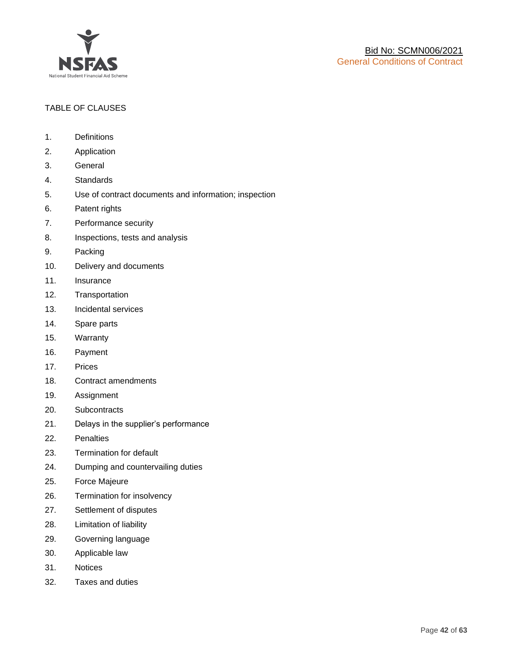

## TABLE OF CLAUSES

- 1. Definitions
- 2. Application
- 3. General
- 4. Standards
- 5. Use of contract documents and information; inspection
- 6. Patent rights
- 7. Performance security
- 8. Inspections, tests and analysis
- 9. Packing
- 10. Delivery and documents
- 11. Insurance
- 12. Transportation
- 13. Incidental services
- 14. Spare parts
- 15. Warranty
- 16. Payment
- 17. Prices
- 18. Contract amendments
- 19. Assignment
- 20. Subcontracts
- 21. Delays in the supplier's performance
- 22. Penalties
- 23. Termination for default
- 24. Dumping and countervailing duties
- 25. Force Majeure
- 26. Termination for insolvency
- 27. Settlement of disputes
- 28. Limitation of liability
- 29. Governing language
- 30. Applicable law
- 31. Notices
- 32. Taxes and duties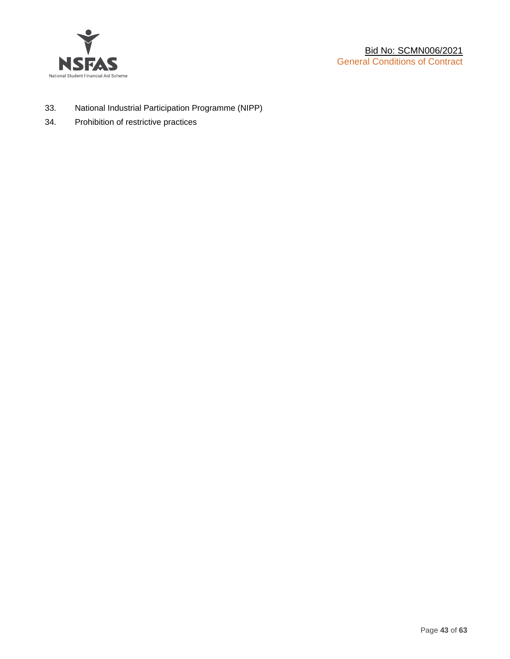

- 33. National Industrial Participation Programme (NIPP)
- 34. Prohibition of restrictive practices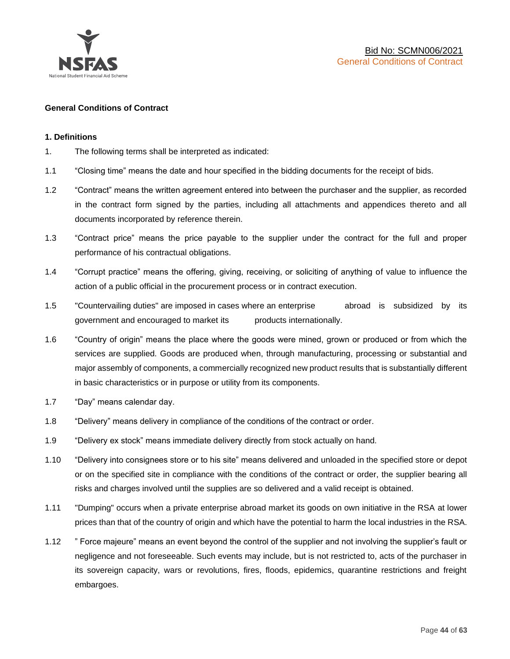

#### **General Conditions of Contract**

#### **1. Definitions**

- 1. The following terms shall be interpreted as indicated:
- 1.1 "Closing time" means the date and hour specified in the bidding documents for the receipt of bids.
- 1.2 "Contract" means the written agreement entered into between the purchaser and the supplier, as recorded in the contract form signed by the parties, including all attachments and appendices thereto and all documents incorporated by reference therein.
- 1.3 "Contract price" means the price payable to the supplier under the contract for the full and proper performance of his contractual obligations.
- 1.4 "Corrupt practice" means the offering, giving, receiving, or soliciting of anything of value to influence the action of a public official in the procurement process or in contract execution.
- 1.5 "Countervailing duties" are imposed in cases where an enterprise abroad is subsidized by its government and encouraged to market its products internationally.
- 1.6 "Country of origin" means the place where the goods were mined, grown or produced or from which the services are supplied. Goods are produced when, through manufacturing, processing or substantial and major assembly of components, a commercially recognized new product results that is substantially different in basic characteristics or in purpose or utility from its components.
- 1.7 "Day" means calendar day.
- 1.8 "Delivery" means delivery in compliance of the conditions of the contract or order.
- 1.9 "Delivery ex stock" means immediate delivery directly from stock actually on hand.
- 1.10 "Delivery into consignees store or to his site" means delivered and unloaded in the specified store or depot or on the specified site in compliance with the conditions of the contract or order, the supplier bearing all risks and charges involved until the supplies are so delivered and a valid receipt is obtained.
- 1.11 "Dumping" occurs when a private enterprise abroad market its goods on own initiative in the RSA at lower prices than that of the country of origin and which have the potential to harm the local industries in the RSA.
- 1.12 " Force majeure" means an event beyond the control of the supplier and not involving the supplier's fault or negligence and not foreseeable. Such events may include, but is not restricted to, acts of the purchaser in its sovereign capacity, wars or revolutions, fires, floods, epidemics, quarantine restrictions and freight embargoes.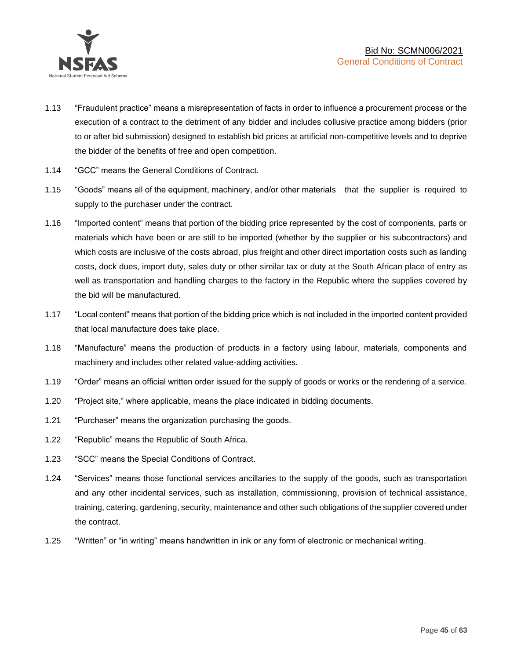

- 1.13 "Fraudulent practice" means a misrepresentation of facts in order to influence a procurement process or the execution of a contract to the detriment of any bidder and includes collusive practice among bidders (prior to or after bid submission) designed to establish bid prices at artificial non-competitive levels and to deprive the bidder of the benefits of free and open competition.
- 1.14 "GCC" means the General Conditions of Contract.
- 1.15 "Goods" means all of the equipment, machinery, and/or other materials that the supplier is required to supply to the purchaser under the contract.
- 1.16 "Imported content" means that portion of the bidding price represented by the cost of components, parts or materials which have been or are still to be imported (whether by the supplier or his subcontractors) and which costs are inclusive of the costs abroad, plus freight and other direct importation costs such as landing costs, dock dues, import duty, sales duty or other similar tax or duty at the South African place of entry as well as transportation and handling charges to the factory in the Republic where the supplies covered by the bid will be manufactured.
- 1.17 "Local content" means that portion of the bidding price which is not included in the imported content provided that local manufacture does take place.
- 1.18 "Manufacture" means the production of products in a factory using labour, materials, components and machinery and includes other related value-adding activities.
- 1.19 "Order" means an official written order issued for the supply of goods or works or the rendering of a service.
- 1.20 "Project site," where applicable, means the place indicated in bidding documents.
- 1.21 "Purchaser" means the organization purchasing the goods.
- 1.22 "Republic" means the Republic of South Africa.
- 1.23 "SCC" means the Special Conditions of Contract.
- 1.24 "Services" means those functional services ancillaries to the supply of the goods, such as transportation and any other incidental services, such as installation, commissioning, provision of technical assistance, training, catering, gardening, security, maintenance and other such obligations of the supplier covered under the contract.
- 1.25 "Written" or "in writing" means handwritten in ink or any form of electronic or mechanical writing.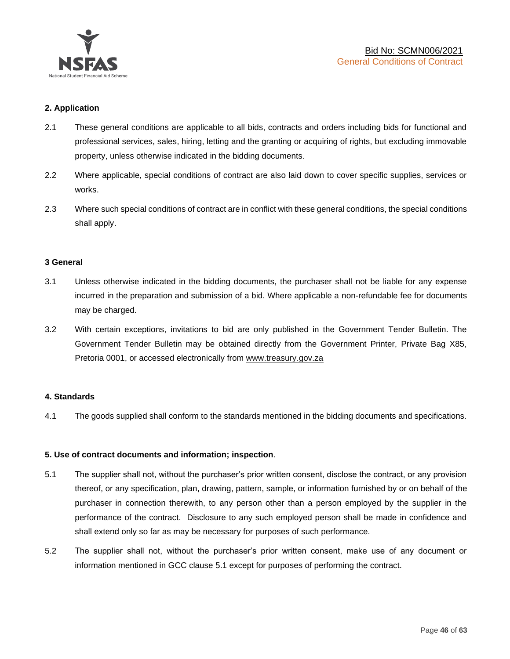

## **2. Application**

- 2.1 These general conditions are applicable to all bids, contracts and orders including bids for functional and professional services, sales, hiring, letting and the granting or acquiring of rights, but excluding immovable property, unless otherwise indicated in the bidding documents.
- 2.2 Where applicable, special conditions of contract are also laid down to cover specific supplies, services or works.
- 2.3 Where such special conditions of contract are in conflict with these general conditions, the special conditions shall apply.

#### **3 General**

- 3.1 Unless otherwise indicated in the bidding documents, the purchaser shall not be liable for any expense incurred in the preparation and submission of a bid. Where applicable a non-refundable fee for documents may be charged.
- 3.2 With certain exceptions, invitations to bid are only published in the Government Tender Bulletin. The Government Tender Bulletin may be obtained directly from the Government Printer, Private Bag X85, Pretoria 0001, or accessed electronically from [www.treasury.gov.za](http://www.treasury.gov.za/)

#### **4. Standards**

4.1 The goods supplied shall conform to the standards mentioned in the bidding documents and specifications.

#### **5. Use of contract documents and information; inspection**.

- 5.1 The supplier shall not, without the purchaser's prior written consent, disclose the contract, or any provision thereof, or any specification, plan, drawing, pattern, sample, or information furnished by or on behalf of the purchaser in connection therewith, to any person other than a person employed by the supplier in the performance of the contract. Disclosure to any such employed person shall be made in confidence and shall extend only so far as may be necessary for purposes of such performance.
- 5.2 The supplier shall not, without the purchaser's prior written consent, make use of any document or information mentioned in GCC clause 5.1 except for purposes of performing the contract.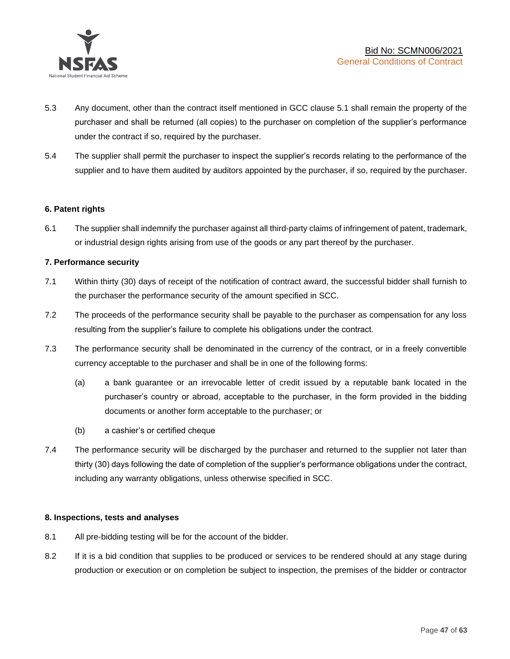

- 5.3 Any document, other than the contract itself mentioned in GCC clause 5.1 shall remain the property of the purchaser and shall be returned (all copies) to the purchaser on completion of the supplier's performance under the contract if so, required by the purchaser.
- 5.4 The supplier shall permit the purchaser to inspect the supplier's records relating to the performance of the supplier and to have them audited by auditors appointed by the purchaser, if so, required by the purchaser.

#### **6. Patent rights**

6.1 The supplier shall indemnify the purchaser against all third-party claims of infringement of patent, trademark, or industrial design rights arising from use of the goods or any part thereof by the purchaser.

#### **7. Performance security**

- 7.1 Within thirty (30) days of receipt of the notification of contract award, the successful bidder shall furnish to the purchaser the performance security of the amount specified in SCC.
- 7.2 The proceeds of the performance security shall be payable to the purchaser as compensation for any loss resulting from the supplier's failure to complete his obligations under the contract.
- 7.3 The performance security shall be denominated in the currency of the contract, or in a freely convertible currency acceptable to the purchaser and shall be in one of the following forms:
	- (a) a bank guarantee or an irrevocable letter of credit issued by a reputable bank located in the purchaser's country or abroad, acceptable to the purchaser, in the form provided in the bidding documents or another form acceptable to the purchaser; or
	- (b) a cashier's or certified cheque
- 7.4 The performance security will be discharged by the purchaser and returned to the supplier not later than thirty (30) days following the date of completion of the supplier's performance obligations under the contract, including any warranty obligations, unless otherwise specified in SCC.

#### **8. Inspections, tests and analyses**

- 8.1 All pre-bidding testing will be for the account of the bidder.
- 8.2 If it is a bid condition that supplies to be produced or services to be rendered should at any stage during production or execution or on completion be subject to inspection, the premises of the bidder or contractor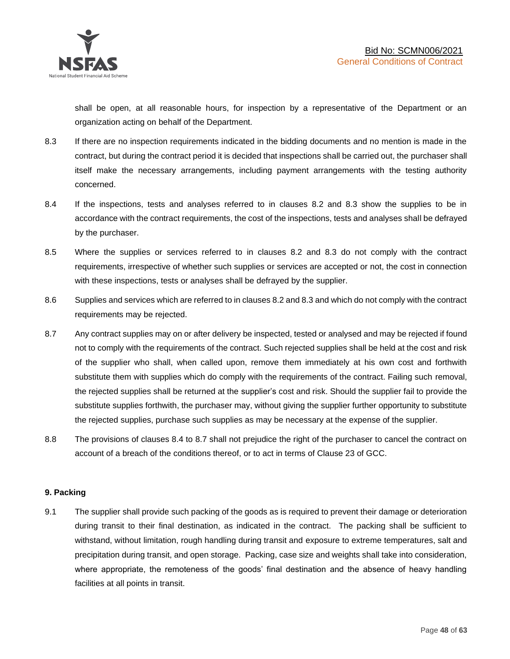shall be open, at all reasonable hours, for inspection by a representative of the Department or an organization acting on behalf of the Department.

- 8.3 If there are no inspection requirements indicated in the bidding documents and no mention is made in the contract, but during the contract period it is decided that inspections shall be carried out, the purchaser shall itself make the necessary arrangements, including payment arrangements with the testing authority concerned.
- 8.4 If the inspections, tests and analyses referred to in clauses 8.2 and 8.3 show the supplies to be in accordance with the contract requirements, the cost of the inspections, tests and analyses shall be defrayed by the purchaser.
- 8.5 Where the supplies or services referred to in clauses 8.2 and 8.3 do not comply with the contract requirements, irrespective of whether such supplies or services are accepted or not, the cost in connection with these inspections, tests or analyses shall be defrayed by the supplier.
- 8.6 Supplies and services which are referred to in clauses 8.2 and 8.3 and which do not comply with the contract requirements may be rejected.
- 8.7 Any contract supplies may on or after delivery be inspected, tested or analysed and may be rejected if found not to comply with the requirements of the contract. Such rejected supplies shall be held at the cost and risk of the supplier who shall, when called upon, remove them immediately at his own cost and forthwith substitute them with supplies which do comply with the requirements of the contract. Failing such removal, the rejected supplies shall be returned at the supplier's cost and risk. Should the supplier fail to provide the substitute supplies forthwith, the purchaser may, without giving the supplier further opportunity to substitute the rejected supplies, purchase such supplies as may be necessary at the expense of the supplier.
- 8.8 The provisions of clauses 8.4 to 8.7 shall not prejudice the right of the purchaser to cancel the contract on account of a breach of the conditions thereof, or to act in terms of Clause 23 of GCC.

## **9. Packing**

9.1 The supplier shall provide such packing of the goods as is required to prevent their damage or deterioration during transit to their final destination, as indicated in the contract. The packing shall be sufficient to withstand, without limitation, rough handling during transit and exposure to extreme temperatures, salt and precipitation during transit, and open storage. Packing, case size and weights shall take into consideration, where appropriate, the remoteness of the goods' final destination and the absence of heavy handling facilities at all points in transit.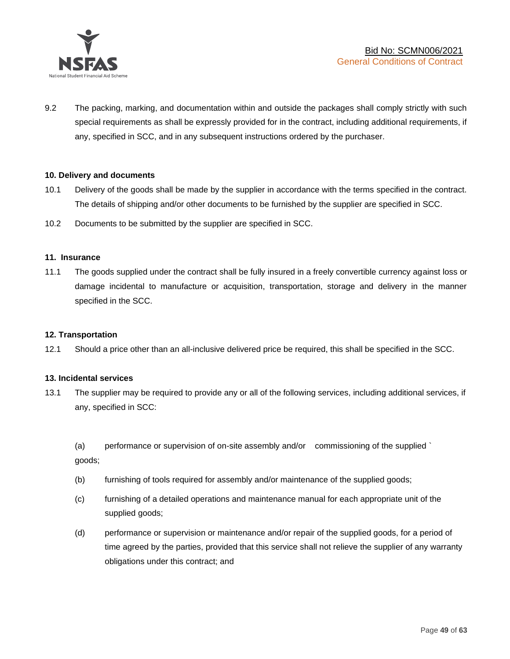

9.2 The packing, marking, and documentation within and outside the packages shall comply strictly with such special requirements as shall be expressly provided for in the contract, including additional requirements, if any, specified in SCC, and in any subsequent instructions ordered by the purchaser.

#### **10. Delivery and documents**

- 10.1 Delivery of the goods shall be made by the supplier in accordance with the terms specified in the contract. The details of shipping and/or other documents to be furnished by the supplier are specified in SCC.
- 10.2 Documents to be submitted by the supplier are specified in SCC.

#### **11. Insurance**

11.1 The goods supplied under the contract shall be fully insured in a freely convertible currency against loss or damage incidental to manufacture or acquisition, transportation, storage and delivery in the manner specified in the SCC.

#### **12. Transportation**

12.1 Should a price other than an all-inclusive delivered price be required, this shall be specified in the SCC.

#### **13. Incidental services**

13.1 The supplier may be required to provide any or all of the following services, including additional services, if any, specified in SCC:

(a) performance or supervision of on-site assembly and/or commissioning of the supplied ` goods;

- (b) furnishing of tools required for assembly and/or maintenance of the supplied goods;
- (c) furnishing of a detailed operations and maintenance manual for each appropriate unit of the supplied goods;
- (d) performance or supervision or maintenance and/or repair of the supplied goods, for a period of time agreed by the parties, provided that this service shall not relieve the supplier of any warranty obligations under this contract; and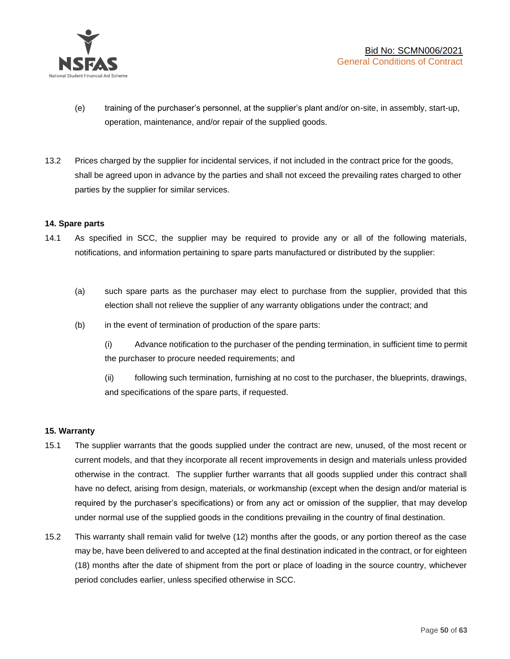

- (e) training of the purchaser's personnel, at the supplier's plant and/or on-site, in assembly, start-up, operation, maintenance, and/or repair of the supplied goods.
- 13.2 Prices charged by the supplier for incidental services, if not included in the contract price for the goods, shall be agreed upon in advance by the parties and shall not exceed the prevailing rates charged to other parties by the supplier for similar services.

#### **14. Spare parts**

- 14.1 As specified in SCC, the supplier may be required to provide any or all of the following materials, notifications, and information pertaining to spare parts manufactured or distributed by the supplier:
	- (a) such spare parts as the purchaser may elect to purchase from the supplier, provided that this election shall not relieve the supplier of any warranty obligations under the contract; and
	- (b) in the event of termination of production of the spare parts:

(i) Advance notification to the purchaser of the pending termination, in sufficient time to permit the purchaser to procure needed requirements; and

(ii) following such termination, furnishing at no cost to the purchaser, the blueprints, drawings, and specifications of the spare parts, if requested.

#### **15. Warranty**

- 15.1 The supplier warrants that the goods supplied under the contract are new, unused, of the most recent or current models, and that they incorporate all recent improvements in design and materials unless provided otherwise in the contract. The supplier further warrants that all goods supplied under this contract shall have no defect, arising from design, materials, or workmanship (except when the design and/or material is required by the purchaser's specifications) or from any act or omission of the supplier, that may develop under normal use of the supplied goods in the conditions prevailing in the country of final destination.
- 15.2 This warranty shall remain valid for twelve (12) months after the goods, or any portion thereof as the case may be, have been delivered to and accepted at the final destination indicated in the contract, or for eighteen (18) months after the date of shipment from the port or place of loading in the source country, whichever period concludes earlier, unless specified otherwise in SCC.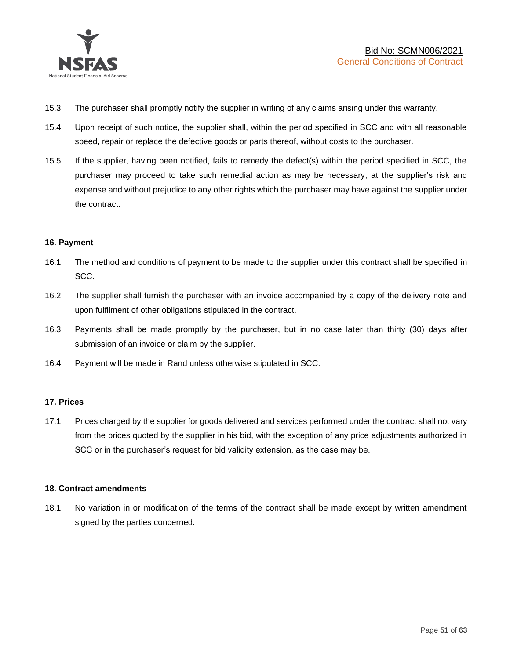

- 15.3 The purchaser shall promptly notify the supplier in writing of any claims arising under this warranty.
- 15.4 Upon receipt of such notice, the supplier shall, within the period specified in SCC and with all reasonable speed, repair or replace the defective goods or parts thereof, without costs to the purchaser.
- 15.5 If the supplier, having been notified, fails to remedy the defect(s) within the period specified in SCC, the purchaser may proceed to take such remedial action as may be necessary, at the supplier's risk and expense and without prejudice to any other rights which the purchaser may have against the supplier under the contract.

#### **16. Payment**

- 16.1 The method and conditions of payment to be made to the supplier under this contract shall be specified in SCC.
- 16.2 The supplier shall furnish the purchaser with an invoice accompanied by a copy of the delivery note and upon fulfilment of other obligations stipulated in the contract.
- 16.3 Payments shall be made promptly by the purchaser, but in no case later than thirty (30) days after submission of an invoice or claim by the supplier.
- 16.4 Payment will be made in Rand unless otherwise stipulated in SCC.

#### **17. Prices**

17.1 Prices charged by the supplier for goods delivered and services performed under the contract shall not vary from the prices quoted by the supplier in his bid, with the exception of any price adjustments authorized in SCC or in the purchaser's request for bid validity extension, as the case may be.

#### **18. Contract amendments**

18.1 No variation in or modification of the terms of the contract shall be made except by written amendment signed by the parties concerned.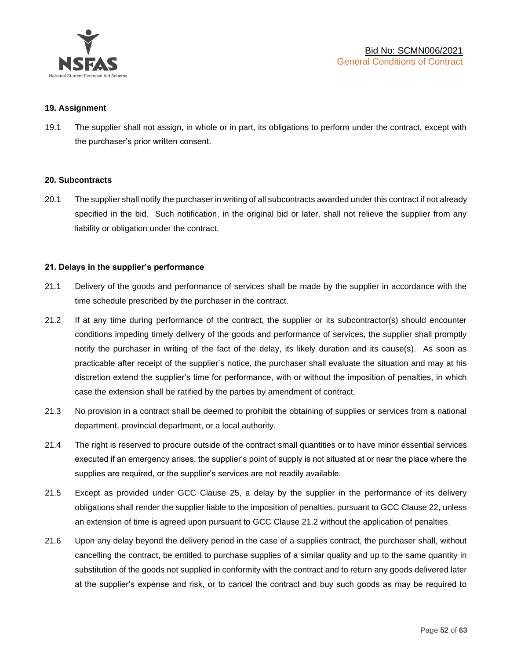

#### **19. Assignment**

19.1 The supplier shall not assign, in whole or in part, its obligations to perform under the contract, except with the purchaser's prior written consent.

#### **20. Subcontracts**

20.1 The supplier shall notify the purchaser in writing of all subcontracts awarded under this contract if not already specified in the bid. Such notification, in the original bid or later, shall not relieve the supplier from any liability or obligation under the contract.

#### **21. Delays in the supplier's performance**

- 21.1 Delivery of the goods and performance of services shall be made by the supplier in accordance with the time schedule prescribed by the purchaser in the contract.
- 21.2 If at any time during performance of the contract, the supplier or its subcontractor(s) should encounter conditions impeding timely delivery of the goods and performance of services, the supplier shall promptly notify the purchaser in writing of the fact of the delay, its likely duration and its cause(s). As soon as practicable after receipt of the supplier's notice, the purchaser shall evaluate the situation and may at his discretion extend the supplier's time for performance, with or without the imposition of penalties, in which case the extension shall be ratified by the parties by amendment of contract.
- 21.3 No provision in a contract shall be deemed to prohibit the obtaining of supplies or services from a national department, provincial department, or a local authority.
- 21.4 The right is reserved to procure outside of the contract small quantities or to have minor essential services executed if an emergency arises, the supplier's point of supply is not situated at or near the place where the supplies are required, or the supplier's services are not readily available.
- 21.5 Except as provided under GCC Clause 25, a delay by the supplier in the performance of its delivery obligations shall render the supplier liable to the imposition of penalties, pursuant to GCC Clause 22, unless an extension of time is agreed upon pursuant to GCC Clause 21.2 without the application of penalties.
- 21.6 Upon any delay beyond the delivery period in the case of a supplies contract, the purchaser shall, without cancelling the contract, be entitled to purchase supplies of a similar quality and up to the same quantity in substitution of the goods not supplied in conformity with the contract and to return any goods delivered later at the supplier's expense and risk, or to cancel the contract and buy such goods as may be required to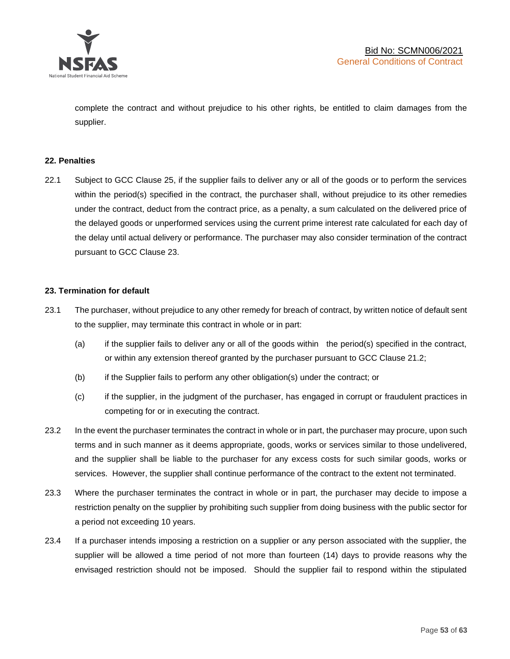

complete the contract and without prejudice to his other rights, be entitled to claim damages from the supplier.

#### **22. Penalties**

22.1 Subject to GCC Clause 25, if the supplier fails to deliver any or all of the goods or to perform the services within the period(s) specified in the contract, the purchaser shall, without prejudice to its other remedies under the contract, deduct from the contract price, as a penalty, a sum calculated on the delivered price of the delayed goods or unperformed services using the current prime interest rate calculated for each day of the delay until actual delivery or performance. The purchaser may also consider termination of the contract pursuant to GCC Clause 23.

#### **23. Termination for default**

- 23.1 The purchaser, without prejudice to any other remedy for breach of contract, by written notice of default sent to the supplier, may terminate this contract in whole or in part:
	- (a) if the supplier fails to deliver any or all of the goods within the period(s) specified in the contract, or within any extension thereof granted by the purchaser pursuant to GCC Clause 21.2;
	- (b) if the Supplier fails to perform any other obligation(s) under the contract; or
	- (c) if the supplier, in the judgment of the purchaser, has engaged in corrupt or fraudulent practices in competing for or in executing the contract.
- 23.2 In the event the purchaser terminates the contract in whole or in part, the purchaser may procure, upon such terms and in such manner as it deems appropriate, goods, works or services similar to those undelivered, and the supplier shall be liable to the purchaser for any excess costs for such similar goods, works or services. However, the supplier shall continue performance of the contract to the extent not terminated.
- 23.3 Where the purchaser terminates the contract in whole or in part, the purchaser may decide to impose a restriction penalty on the supplier by prohibiting such supplier from doing business with the public sector for a period not exceeding 10 years.
- 23.4 If a purchaser intends imposing a restriction on a supplier or any person associated with the supplier, the supplier will be allowed a time period of not more than fourteen (14) days to provide reasons why the envisaged restriction should not be imposed. Should the supplier fail to respond within the stipulated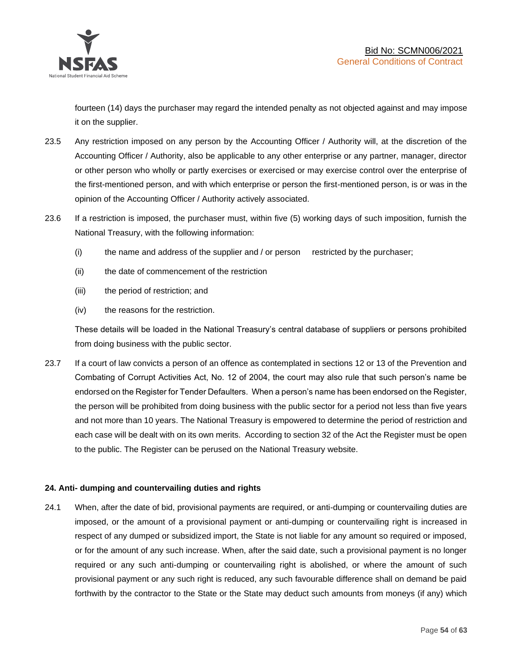

fourteen (14) days the purchaser may regard the intended penalty as not objected against and may impose it on the supplier.

- 23.5 Any restriction imposed on any person by the Accounting Officer / Authority will, at the discretion of the Accounting Officer / Authority, also be applicable to any other enterprise or any partner, manager, director or other person who wholly or partly exercises or exercised or may exercise control over the enterprise of the first-mentioned person, and with which enterprise or person the first-mentioned person, is or was in the opinion of the Accounting Officer / Authority actively associated.
- 23.6 If a restriction is imposed, the purchaser must, within five (5) working days of such imposition, furnish the National Treasury, with the following information:
	- (i) the name and address of the supplier and / or person restricted by the purchaser;
	- (ii) the date of commencement of the restriction
	- (iii) the period of restriction; and
	- (iv) the reasons for the restriction.

These details will be loaded in the National Treasury's central database of suppliers or persons prohibited from doing business with the public sector.

23.7 If a court of law convicts a person of an offence as contemplated in sections 12 or 13 of the Prevention and Combating of Corrupt Activities Act, No. 12 of 2004, the court may also rule that such person's name be endorsed on the Register for Tender Defaulters. When a person's name has been endorsed on the Register, the person will be prohibited from doing business with the public sector for a period not less than five years and not more than 10 years. The National Treasury is empowered to determine the period of restriction and each case will be dealt with on its own merits. According to section 32 of the Act the Register must be open to the public. The Register can be perused on the National Treasury website.

## **24. Anti- dumping and countervailing duties and rights**

24.1 When, after the date of bid, provisional payments are required, or anti-dumping or countervailing duties are imposed, or the amount of a provisional payment or anti-dumping or countervailing right is increased in respect of any dumped or subsidized import, the State is not liable for any amount so required or imposed, or for the amount of any such increase. When, after the said date, such a provisional payment is no longer required or any such anti-dumping or countervailing right is abolished, or where the amount of such provisional payment or any such right is reduced, any such favourable difference shall on demand be paid forthwith by the contractor to the State or the State may deduct such amounts from moneys (if any) which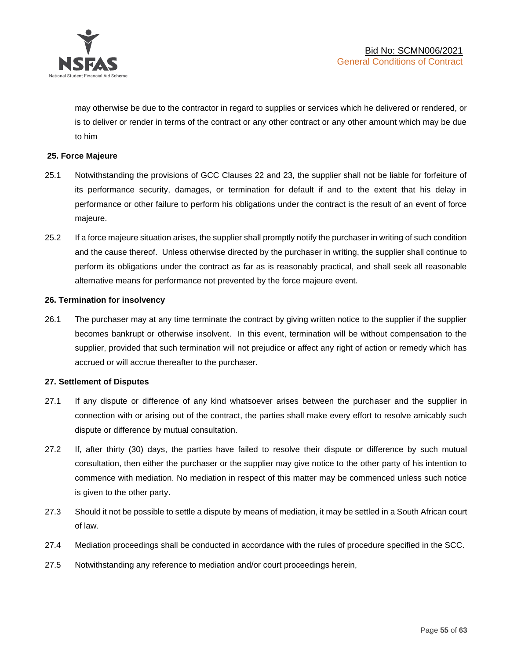

may otherwise be due to the contractor in regard to supplies or services which he delivered or rendered, or is to deliver or render in terms of the contract or any other contract or any other amount which may be due to him

#### **25. Force Majeure**

- 25.1 Notwithstanding the provisions of GCC Clauses 22 and 23, the supplier shall not be liable for forfeiture of its performance security, damages, or termination for default if and to the extent that his delay in performance or other failure to perform his obligations under the contract is the result of an event of force majeure.
- 25.2 If a force majeure situation arises, the supplier shall promptly notify the purchaser in writing of such condition and the cause thereof. Unless otherwise directed by the purchaser in writing, the supplier shall continue to perform its obligations under the contract as far as is reasonably practical, and shall seek all reasonable alternative means for performance not prevented by the force majeure event.

#### **26. Termination for insolvency**

26.1 The purchaser may at any time terminate the contract by giving written notice to the supplier if the supplier becomes bankrupt or otherwise insolvent. In this event, termination will be without compensation to the supplier, provided that such termination will not prejudice or affect any right of action or remedy which has accrued or will accrue thereafter to the purchaser.

#### **27. Settlement of Disputes**

- 27.1 If any dispute or difference of any kind whatsoever arises between the purchaser and the supplier in connection with or arising out of the contract, the parties shall make every effort to resolve amicably such dispute or difference by mutual consultation.
- 27.2 If, after thirty (30) days, the parties have failed to resolve their dispute or difference by such mutual consultation, then either the purchaser or the supplier may give notice to the other party of his intention to commence with mediation. No mediation in respect of this matter may be commenced unless such notice is given to the other party.
- 27.3 Should it not be possible to settle a dispute by means of mediation, it may be settled in a South African court of law.
- 27.4 Mediation proceedings shall be conducted in accordance with the rules of procedure specified in the SCC.
- 27.5 Notwithstanding any reference to mediation and/or court proceedings herein,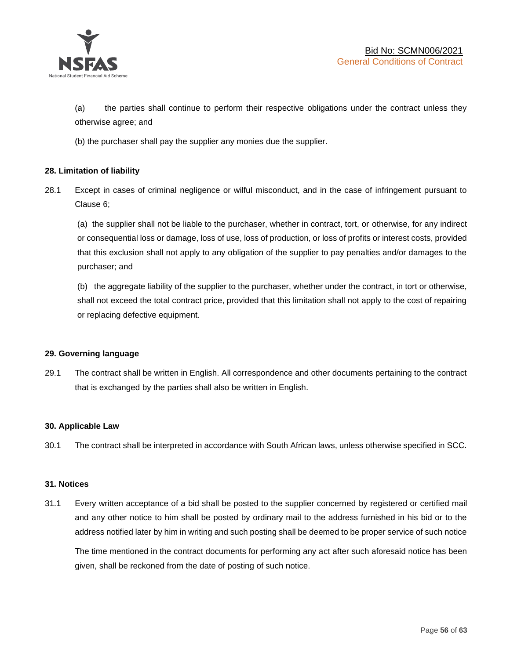

(a) the parties shall continue to perform their respective obligations under the contract unless they otherwise agree; and

(b) the purchaser shall pay the supplier any monies due the supplier.

#### **28. Limitation of liability**

28.1 Except in cases of criminal negligence or wilful misconduct, and in the case of infringement pursuant to Clause 6;

(a) the supplier shall not be liable to the purchaser, whether in contract, tort, or otherwise, for any indirect or consequential loss or damage, loss of use, loss of production, or loss of profits or interest costs, provided that this exclusion shall not apply to any obligation of the supplier to pay penalties and/or damages to the purchaser; and

(b) the aggregate liability of the supplier to the purchaser, whether under the contract, in tort or otherwise, shall not exceed the total contract price, provided that this limitation shall not apply to the cost of repairing or replacing defective equipment.

#### **29. Governing language**

29.1 The contract shall be written in English. All correspondence and other documents pertaining to the contract that is exchanged by the parties shall also be written in English.

#### **30. Applicable Law**

30.1 The contract shall be interpreted in accordance with South African laws, unless otherwise specified in SCC.

#### **31. Notices**

31.1 Every written acceptance of a bid shall be posted to the supplier concerned by registered or certified mail and any other notice to him shall be posted by ordinary mail to the address furnished in his bid or to the address notified later by him in writing and such posting shall be deemed to be proper service of such notice

The time mentioned in the contract documents for performing any act after such aforesaid notice has been given, shall be reckoned from the date of posting of such notice.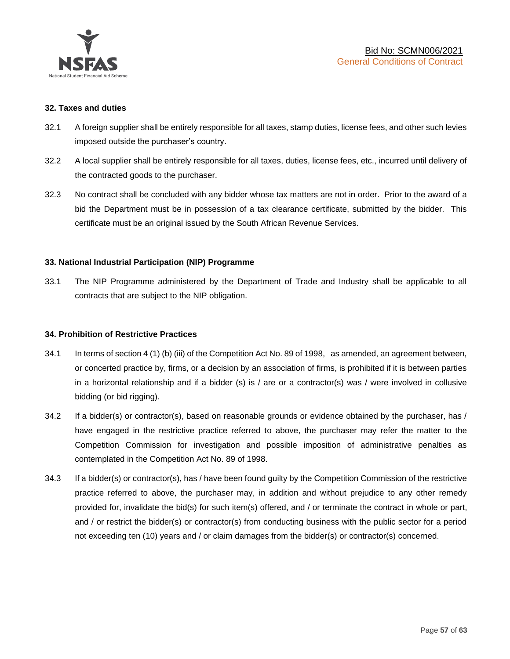

#### **32. Taxes and duties**

- 32.1 A foreign supplier shall be entirely responsible for all taxes, stamp duties, license fees, and other such levies imposed outside the purchaser's country.
- 32.2 A local supplier shall be entirely responsible for all taxes, duties, license fees, etc., incurred until delivery of the contracted goods to the purchaser.
- 32.3 No contract shall be concluded with any bidder whose tax matters are not in order. Prior to the award of a bid the Department must be in possession of a tax clearance certificate, submitted by the bidder. This certificate must be an original issued by the South African Revenue Services.

#### **33. National Industrial Participation (NIP) Programme**

33.1 The NIP Programme administered by the Department of Trade and Industry shall be applicable to all contracts that are subject to the NIP obligation.

#### **34. Prohibition of Restrictive Practices**

- 34.1 In terms of section 4 (1) (b) (iii) of the Competition Act No. 89 of 1998, as amended, an agreement between, or concerted practice by, firms, or a decision by an association of firms, is prohibited if it is between parties in a horizontal relationship and if a bidder (s) is / are or a contractor(s) was / were involved in collusive bidding (or bid rigging).
- 34.2 If a bidder(s) or contractor(s), based on reasonable grounds or evidence obtained by the purchaser, has / have engaged in the restrictive practice referred to above, the purchaser may refer the matter to the Competition Commission for investigation and possible imposition of administrative penalties as contemplated in the Competition Act No. 89 of 1998.
- 34.3 If a bidder(s) or contractor(s), has / have been found guilty by the Competition Commission of the restrictive practice referred to above, the purchaser may, in addition and without prejudice to any other remedy provided for, invalidate the bid(s) for such item(s) offered, and / or terminate the contract in whole or part, and / or restrict the bidder(s) or contractor(s) from conducting business with the public sector for a period not exceeding ten (10) years and / or claim damages from the bidder(s) or contractor(s) concerned.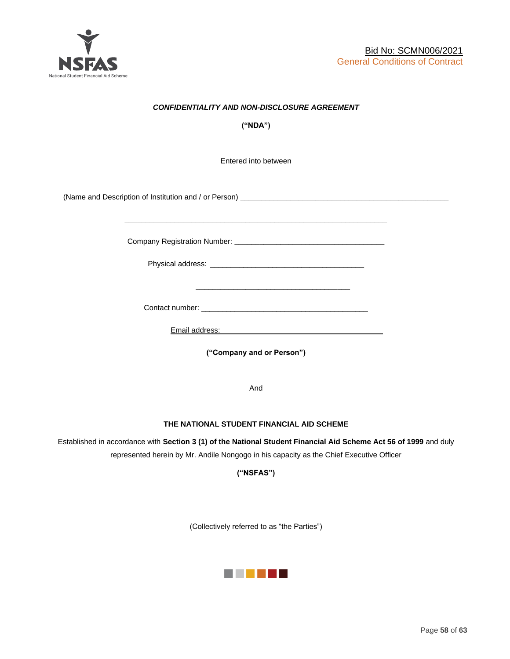

## *CONFIDENTIALITY AND NON-DISCLOSURE AGREEMENT*

**("NDA")**

Entered into between

(Name and Description of Institution and / or Person) **\_\_\_\_\_\_\_\_\_\_\_\_\_\_\_\_\_\_\_\_\_\_\_\_\_\_\_\_\_\_\_\_\_\_\_\_\_\_\_\_\_\_\_\_\_\_\_\_\_\_**

Company Registration Number: **\_\_\_\_\_\_\_\_\_\_\_\_\_\_\_\_\_\_\_\_\_\_\_\_\_\_\_\_\_\_\_\_\_\_\_\_**

 $\frac{1}{\sqrt{2}}$  ,  $\frac{1}{\sqrt{2}}$  ,  $\frac{1}{\sqrt{2}}$  ,  $\frac{1}{\sqrt{2}}$  ,  $\frac{1}{\sqrt{2}}$  ,  $\frac{1}{\sqrt{2}}$  ,  $\frac{1}{\sqrt{2}}$  ,  $\frac{1}{\sqrt{2}}$  ,  $\frac{1}{\sqrt{2}}$  ,  $\frac{1}{\sqrt{2}}$  ,  $\frac{1}{\sqrt{2}}$  ,  $\frac{1}{\sqrt{2}}$  ,  $\frac{1}{\sqrt{2}}$  ,  $\frac{1}{\sqrt{2}}$  ,  $\frac{1}{\sqrt{2}}$ 

Physical address: \_\_\_\_\_\_\_\_\_\_\_\_\_\_\_\_\_\_\_\_\_\_\_\_\_\_\_\_\_\_\_\_\_\_\_\_\_

**\_\_\_\_\_\_\_\_\_\_\_\_\_\_\_\_\_\_\_\_\_\_\_\_\_\_\_\_\_\_\_\_\_\_\_\_\_\_\_\_\_\_\_\_\_\_\_\_\_\_\_\_\_\_\_\_\_\_\_\_\_\_\_**

Contact number: \_\_\_\_\_\_\_\_\_\_\_\_\_\_\_\_\_\_\_\_\_\_\_\_\_\_\_\_\_\_\_\_\_\_\_\_\_\_\_\_

Email address: \_\_\_\_\_\_\_\_\_\_\_\_\_\_\_\_\_\_\_\_\_\_\_\_\_\_\_\_\_\_\_\_\_\_\_\_\_

**("Company and or Person")**

And

#### **THE NATIONAL STUDENT FINANCIAL AID SCHEME**

Established in accordance with **Section 3 (1) of the National Student Financial Aid Scheme Act 56 of 1999** and duly represented herein by Mr. Andile Nongogo in his capacity as the Chief Executive Officer

**("NSFAS")**

(Collectively referred to as "the Parties")

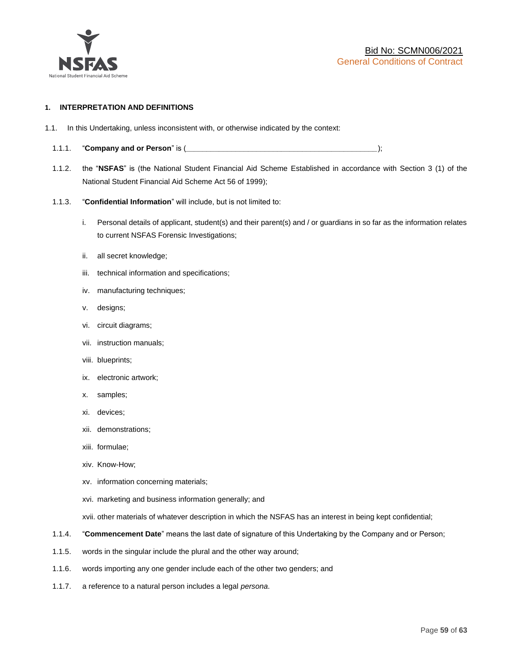

#### **1. INTERPRETATION AND DEFINITIONS**

- 1.1. In this Undertaking, unless inconsistent with, or otherwise indicated by the context:
	- 1.1.1. "**Company and or Person**" is (*\_\_\_\_\_\_\_\_\_\_\_\_\_\_\_\_\_\_\_\_\_\_\_\_\_\_\_\_\_\_\_\_\_\_\_\_\_\_\_\_\_\_\_\_\_\_*);
	- 1.1.2. the "**NSFAS**" is (the National Student Financial Aid Scheme Established in accordance with Section 3 (1) of the National Student Financial Aid Scheme Act 56 of 1999);
	- 1.1.3. "**Confidential Information**" will include, but is not limited to:
		- i. Personal details of applicant, student(s) and their parent(s) and / or guardians in so far as the information relates to current NSFAS Forensic Investigations;
		- ii. all secret knowledge;
		- iii. technical information and specifications;
		- iv. manufacturing techniques;
		- v. designs;
		- vi. circuit diagrams;
		- vii. instruction manuals;
		- viii. blueprints;
		- ix. electronic artwork;
		- x. samples;
		- xi. devices;
		- xii. demonstrations;
		- xiii. formulae;
		- xiv. Know-How;
		- xv. information concerning materials;
		- xvi. marketing and business information generally; and
		- xvii. other materials of whatever description in which the NSFAS has an interest in being kept confidential;
	- 1.1.4. "**Commencement Date**" means the last date of signature of this Undertaking by the Company and or Person;
	- 1.1.5. words in the singular include the plural and the other way around;
	- 1.1.6. words importing any one gender include each of the other two genders; and
	- 1.1.7. a reference to a natural person includes a legal *persona*.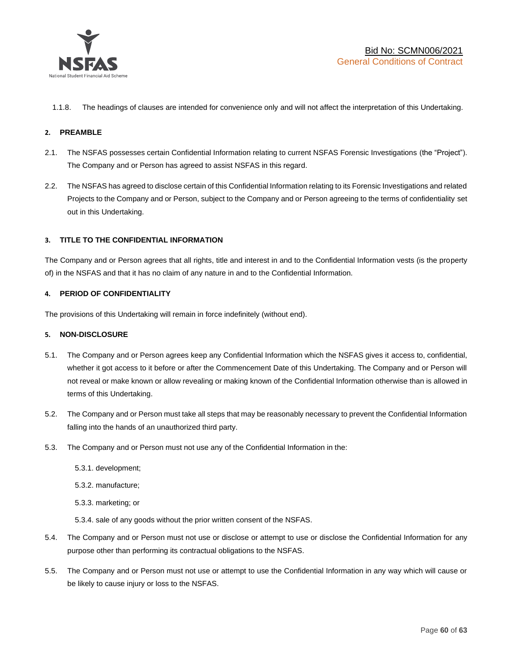

1.1.8. The headings of clauses are intended for convenience only and will not affect the interpretation of this Undertaking.

#### **2. PREAMBLE**

- 2.1. The NSFAS possesses certain Confidential Information relating to current NSFAS Forensic Investigations (the "Project"). The Company and or Person has agreed to assist NSFAS in this regard.
- 2.2. The NSFAS has agreed to disclose certain of this Confidential Information relating to its Forensic Investigations and related Projects to the Company and or Person, subject to the Company and or Person agreeing to the terms of confidentiality set out in this Undertaking.

#### **3. TITLE TO THE CONFIDENTIAL INFORMATION**

The Company and or Person agrees that all rights, title and interest in and to the Confidential Information vests (is the property of) in the NSFAS and that it has no claim of any nature in and to the Confidential Information.

#### **4. PERIOD OF CONFIDENTIALITY**

The provisions of this Undertaking will remain in force indefinitely (without end).

#### **5. NON-DISCLOSURE**

- 5.1. The Company and or Person agrees keep any Confidential Information which the NSFAS gives it access to, confidential, whether it got access to it before or after the Commencement Date of this Undertaking. The Company and or Person will not reveal or make known or allow revealing or making known of the Confidential Information otherwise than is allowed in terms of this Undertaking.
- 5.2. The Company and or Person must take all steps that may be reasonably necessary to prevent the Confidential Information falling into the hands of an unauthorized third party.
- 5.3. The Company and or Person must not use any of the Confidential Information in the:
	- 5.3.1. development;
	- 5.3.2. manufacture;
	- 5.3.3. marketing; or
	- 5.3.4. sale of any goods without the prior written consent of the NSFAS.
- 5.4. The Company and or Person must not use or disclose or attempt to use or disclose the Confidential Information for any purpose other than performing its contractual obligations to the NSFAS.
- 5.5. The Company and or Person must not use or attempt to use the Confidential Information in any way which will cause or be likely to cause injury or loss to the NSFAS.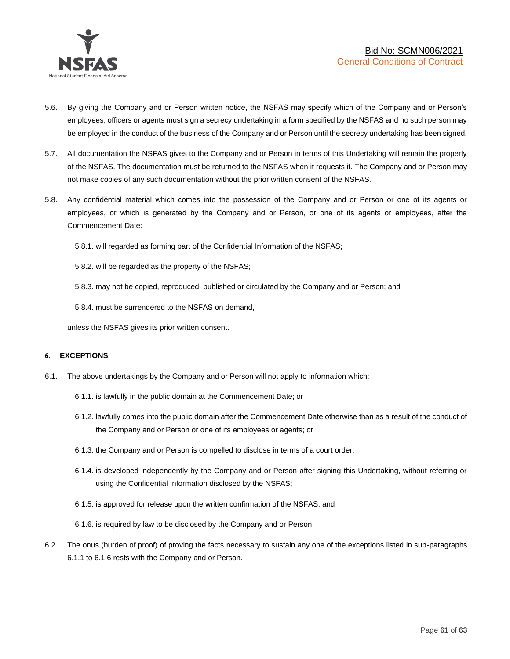

- 5.6. By giving the Company and or Person written notice, the NSFAS may specify which of the Company and or Person's employees, officers or agents must sign a secrecy undertaking in a form specified by the NSFAS and no such person may be employed in the conduct of the business of the Company and or Person until the secrecy undertaking has been signed.
- 5.7. All documentation the NSFAS gives to the Company and or Person in terms of this Undertaking will remain the property of the NSFAS. The documentation must be returned to the NSFAS when it requests it. The Company and or Person may not make copies of any such documentation without the prior written consent of the NSFAS.
- 5.8. Any confidential material which comes into the possession of the Company and or Person or one of its agents or employees, or which is generated by the Company and or Person, or one of its agents or employees, after the Commencement Date:

5.8.1. will regarded as forming part of the Confidential Information of the NSFAS;

5.8.2. will be regarded as the property of the NSFAS;

5.8.3. may not be copied, reproduced, published or circulated by the Company and or Person; and

5.8.4. must be surrendered to the NSFAS on demand,

unless the NSFAS gives its prior written consent.

#### **6. EXCEPTIONS**

- 6.1. The above undertakings by the Company and or Person will not apply to information which:
	- 6.1.1. is lawfully in the public domain at the Commencement Date; or
	- 6.1.2. lawfully comes into the public domain after the Commencement Date otherwise than as a result of the conduct of the Company and or Person or one of its employees or agents; or
	- 6.1.3. the Company and or Person is compelled to disclose in terms of a court order;
	- 6.1.4. is developed independently by the Company and or Person after signing this Undertaking, without referring or using the Confidential Information disclosed by the NSFAS;
	- 6.1.5. is approved for release upon the written confirmation of the NSFAS; and
	- 6.1.6. is required by law to be disclosed by the Company and or Person.
- 6.2. The onus (burden of proof) of proving the facts necessary to sustain any one of the exceptions listed in sub-paragraphs 6.1.1 to 6.1.6 rests with the Company and or Person.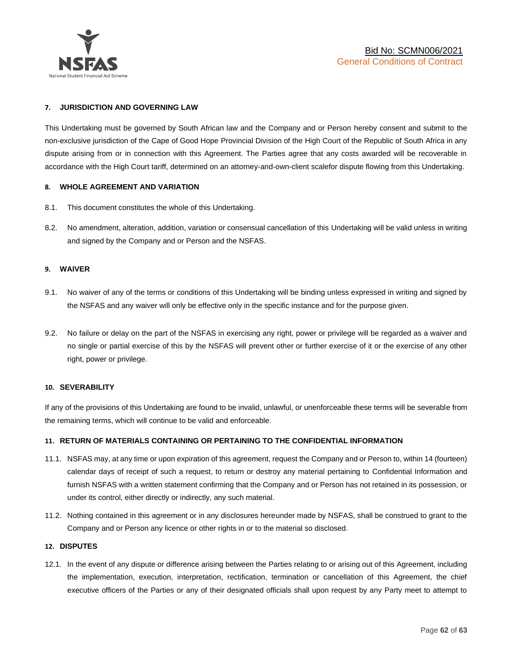

#### **7. JURISDICTION AND GOVERNING LAW**

This Undertaking must be governed by South African law and the Company and or Person hereby consent and submit to the non-exclusive jurisdiction of the Cape of Good Hope Provincial Division of the High Court of the Republic of South Africa in any dispute arising from or in connection with this Agreement. The Parties agree that any costs awarded will be recoverable in accordance with the High Court tariff, determined on an attorney-and-own-client scalefor dispute flowing from this Undertaking.

#### **8. WHOLE AGREEMENT AND VARIATION**

- 8.1. This document constitutes the whole of this Undertaking.
- 8.2. No amendment, alteration, addition, variation or consensual cancellation of this Undertaking will be valid unless in writing and signed by the Company and or Person and the NSFAS.

#### **9. WAIVER**

- 9.1. No waiver of any of the terms or conditions of this Undertaking will be binding unless expressed in writing and signed by the NSFAS and any waiver will only be effective only in the specific instance and for the purpose given.
- 9.2. No failure or delay on the part of the NSFAS in exercising any right, power or privilege will be regarded as a waiver and no single or partial exercise of this by the NSFAS will prevent other or further exercise of it or the exercise of any other right, power or privilege.

#### **10. SEVERABILITY**

If any of the provisions of this Undertaking are found to be invalid, unlawful, or unenforceable these terms will be severable from the remaining terms, which will continue to be valid and enforceable.

#### **11. RETURN OF MATERIALS CONTAINING OR PERTAINING TO THE CONFIDENTIAL INFORMATION**

- 11.1. NSFAS may, at any time or upon expiration of this agreement, request the Company and or Person to, within 14 (fourteen) calendar days of receipt of such a request, to return or destroy any material pertaining to Confidential Information and furnish NSFAS with a written statement confirming that the Company and or Person has not retained in its possession, or under its control, either directly or indirectly, any such material.
- 11.2. Nothing contained in this agreement or in any disclosures hereunder made by NSFAS, shall be construed to grant to the Company and or Person any licence or other rights in or to the material so disclosed.

#### **12. DISPUTES**

12.1. In the event of any dispute or difference arising between the Parties relating to or arising out of this Agreement, including the implementation, execution, interpretation, rectification, termination or cancellation of this Agreement, the chief executive officers of the Parties or any of their designated officials shall upon request by any Party meet to attempt to